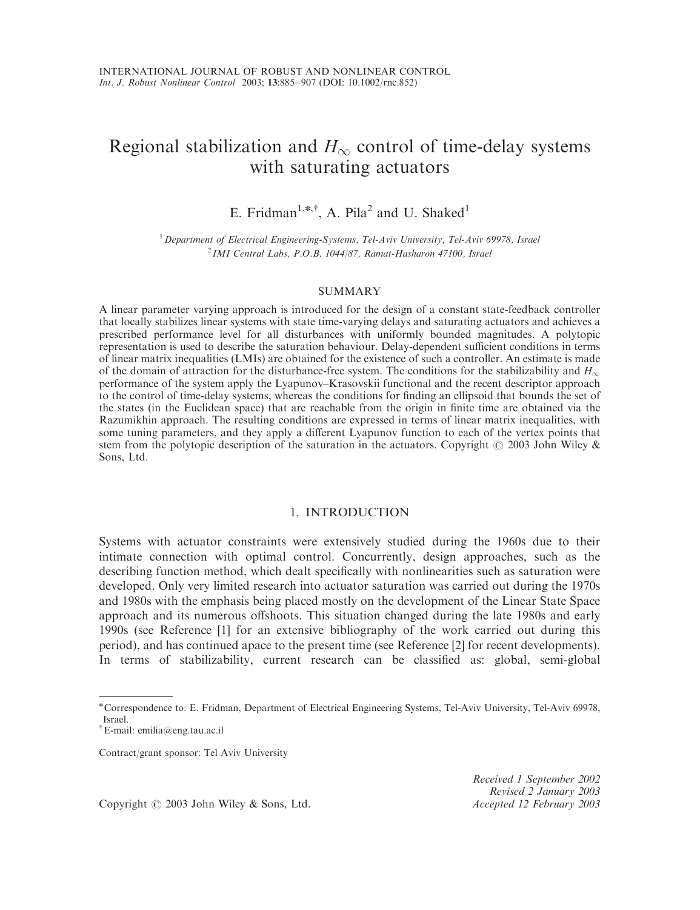# Regional stabilization and  $H_{\infty}$  control of time-delay systems with saturating actuators

E. Fridman<sup>1,\*,†</sup>, A. Pila<sup>2</sup> and U. Shaked<sup>1</sup>

 $1$  Department of Electrical Engineering-Systems, Tel-Aviv University, Tel-Aviv 69978, Israel  $^{2}$  IMI Central Labs, P.O.B. 1044/87, Ramat-Hasharon 47100, Israel

#### SUMMARY

A linear parameter varying approach is introduced for the design of a constant state-feedback controller that locally stabilizes linear systems with state time-varying delays and saturating actuators and achieves a prescribed performance level for all disturbances with uniformly bounded magnitudes. A polytopic representation is used to describe the saturation behaviour. Delay-dependent sufficient conditions in terms of linear matrix inequalities (LMIs) are obtained for the existence of such a controller. An estimate is made of the domain of attraction for the disturbance-free system. The conditions for the stabilizability and  $H_{\infty}$ performance of the system apply the Lyapunov–Krasovskii functional and the recent descriptor approach to the control of time-delay systems, whereas the conditions for finding an ellipsoid that bounds the set of the states (in the Euclidean space) that are reachable from the origin in finite time are obtained via the Razumikhin approach. The resulting conditions are expressed in terms of linear matrix inequalities, with some tuning parameters, and they apply a different Lyapunov function to each of the vertex points that stem from the polytopic description of the saturation in the actuators. Copyright  $\odot$  2003 John Wiley & Sons, Ltd.

## 1. INTRODUCTION

Systems with actuator constraints were extensively studied during the 1960s due to their intimate connection with optimal control. Concurrently, design approaches, such as the describing function method, which dealt specifically with nonlinearities such as saturation were developed. Only very limited research into actuator saturation was carried out during the 1970s and 1980s with the emphasis being placed mostly on the development of the Linear State Space approach and its numerous offshoots. This situation changed during the late 1980s and early 1990s (see Reference [1] for an extensive bibliography of the work carried out during this period), and has continued apace to the present time (see Reference [2] for recent developments). In terms of stabilizability, current research can be classified as: global, semi-global

Contract/grant sponsor: Tel Aviv University

Received 1 September 2002 Revised 2 January 2003

Copyright © 2003 John Wiley & Sons, Ltd. Accepted 12 February 2003

<sup>\*</sup>Correspondence to: E. Fridman, Department of Electrical Engineering Systems, Tel-Aviv University, Tel-Aviv 69978, Israel.

<sup>&</sup>lt;sup>†</sup>E-mail: emilia@eng.tau.ac.il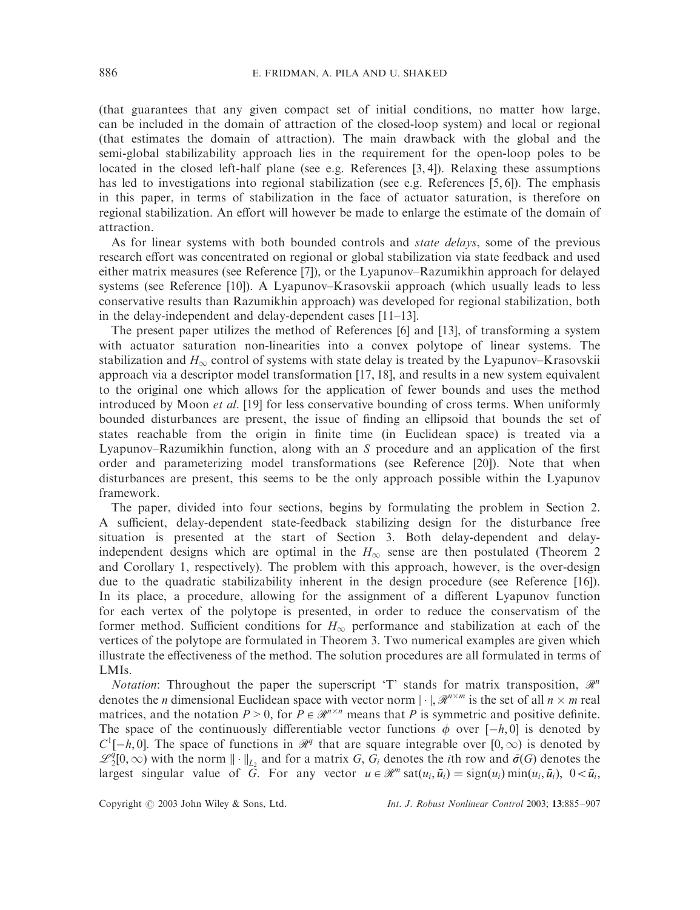(that guarantees that any given compact set of initial conditions, no matter how large, can be included in the domain of attraction of the closed-loop system) and local or regional (that estimates the domain of attraction). The main drawback with the global and the semi-global stabilizability approach lies in the requirement for the open-loop poles to be located in the closed left-half plane (see e.g. References [3, 4]). Relaxing these assumptions has led to investigations into regional stabilization (see e.g. References [5, 6]). The emphasis in this paper, in terms of stabilization in the face of actuator saturation, is therefore on regional stabilization. An effort will however be made to enlarge the estimate of the domain of attraction.

As for linear systems with both bounded controls and *state delays*, some of the previous research effort was concentrated on regional or global stabilization via state feedback and used either matrix measures (see Reference [7]), or the Lyapunov–Razumikhin approach for delayed systems (see Reference [10]). A Lyapunov–Krasovskii approach (which usually leads to less conservative results than Razumikhin approach) was developed for regional stabilization, both in the delay-independent and delay-dependent cases [11–13].

The present paper utilizes the method of References [6] and [13], of transforming a system with actuator saturation non-linearities into a convex polytope of linear systems. The stabilization and  $H_{\infty}$  control of systems with state delay is treated by the Lyapunov–Krasovskii approach via a descriptor model transformation [17, 18], and results in a new system equivalent to the original one which allows for the application of fewer bounds and uses the method introduced by Moon et al. [19] for less conservative bounding of cross terms. When uniformly bounded disturbances are present, the issue of finding an ellipsoid that bounds the set of states reachable from the origin in finite time (in Euclidean space) is treated via a Lyapunov–Razumikhin function, along with an *S* procedure and an application of the first order and parameterizing model transformations (see Reference [20]). Note that when disturbances are present, this seems to be the only approach possible within the Lyapunov framework.

The paper, divided into four sections, begins by formulating the problem in Section 2. A sufficient, delay-dependent state-feedback stabilizing design for the disturbance free situation is presented at the start of Section 3. Both delay-dependent and delayindependent designs which are optimal in the  $H_{\infty}$  sense are then postulated (Theorem 2) and Corollary 1, respectively). The problem with this approach, however, is the over-design due to the quadratic stabilizability inherent in the design procedure (see Reference [16]). In its place, a procedure, allowing for the assignment of a different Lyapunov function for each vertex of the polytope is presented, in order to reduce the conservatism of the former method. Sufficient conditions for  $H_{\infty}$  performance and stabilization at each of the vertices of the polytope are formulated in Theorem 3. Two numerical examples are given which illustrate the effectiveness of the method. The solution procedures are all formulated in terms of LMIs.

*Notation*: Throughout the paper the superscript 'T' stands for matrix transposition,  $\mathcal{R}^n$ denotes the *n* dimensional Euclidean space with vector norm  $|\cdot|$ ,  $\mathcal{R}^{n \times m}$  is the set of all  $n \times m$  real matrices, and the notation  $P > 0$ , for  $P \in \mathcal{R}^{n \times n}$  means that P is symmetric and positive definite. The space of the continuously differentiable vector functions  $\phi$  over  $[-h, 0]$  is denoted by  $C^1[-h, 0]$ . The space of functions in  $\mathcal{R}^q$  that are square integrable over  $[0, \infty)$  is denoted by  $\mathscr{L}_2^{\bar{q}}[0,\infty)$  with the norm  $\|\cdot\|_{L_2}$  and for a matrix *G*,  $G_i$  denotes the *i*th row and  $\bar{\sigma}(G)$  denotes the largest singular value of  $\tilde{G}$ . For any vector  $u \in \mathcal{R}^m$  sat $(u_i, \bar{u}_i) = \text{sign}(u_i) \min(u_i, \bar{u}_i)$ ,  $0 < \bar{u}_i$ ,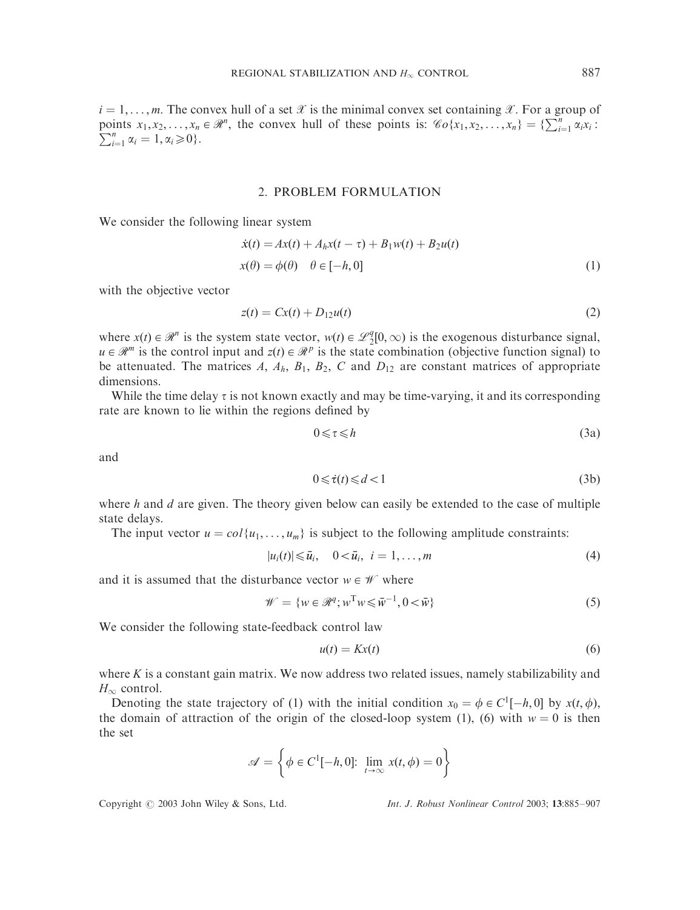$i = 1, \ldots, m$ . The convex hull of a set X is the minimal convex set containing X. For a group of points  $x_1, x_2, ..., x_n \in \mathbb{R}^n$ , the convex hull of these points is:  $\mathcal{C}_0\{x_1, x_2, ..., x_n\} = \{\sum_{i=1}^n \alpha_i x_i : \sum_{i=1}^n \alpha_i x_i\}$  $\sum_{i=1}^{n} \alpha_i = 1, \alpha_i \geq 0$ .

## 2. PROBLEM FORMULATION

We consider the following linear system

$$
\dot{x}(t) = Ax(t) + A_h x(t - \tau) + B_1 w(t) + B_2 u(t)
$$
  
\n
$$
x(\theta) = \phi(\theta) \quad \theta \in [-h, 0]
$$
\n(1)

with the objective vector

$$
z(t) = Cx(t) + D_{12}u(t) \tag{2}
$$

where  $x(t) \in \mathcal{R}^n$  is the system state vector,  $w(t) \in \mathcal{L}_2^q[0,\infty)$  is the exogenous disturbance signal,  $u \in \mathcal{R}^m$  is the control input and  $z(t) \in \mathcal{R}^p$  is the state combination (objective function signal) to be attenuated. The matrices  $A$ ,  $A_h$ ,  $B_1$ ,  $B_2$ ,  $C$  and  $D_{12}$  are constant matrices of appropriate dimensions.

While the time delay  $\tau$  is not known exactly and may be time-varying, it and its corresponding rate are known to lie within the regions defined by

$$
0 \leqslant \tau \leqslant h \tag{3a}
$$

and

$$
0 \leq \dot{\tau}(t) \leq d < 1 \tag{3b}
$$

where *h* and *d* are given. The theory given below can easily be extended to the case of multiple state delays.

The input vector  $u = col\{u_1, \ldots, u_m\}$  is subject to the following amplitude constraints:

$$
|u_i(t)| \leq \bar{u}_i, \quad 0 < \bar{u}_i, \quad i = 1, \ldots, m \tag{4}
$$

and it is assumed that the disturbance vector  $w \in \mathcal{W}$  where

$$
\mathcal{W} = \{ w \in \mathcal{R}^q; w^{\mathrm{T}} w \leq \bar{w}^{-1}, 0 < \bar{w} \} \tag{5}
$$

We consider the following state-feedback control law

$$
u(t) = Kx(t) \tag{6}
$$

where *K* is a constant gain matrix. We now address two related issues, namely stabilizability and  $H_{\infty}$  control.

Denoting the state trajectory of (1) with the initial condition  $x_0 = \phi \in C^1[-h, 0]$  by  $x(t, \phi)$ , the domain of attraction of the origin of the closed-loop system (1), (6) with  $w = 0$  is then the set

$$
\mathscr{A} = \left\{ \phi \in C^1[-h, 0]; \lim_{t \to \infty} x(t, \phi) = 0 \right\}
$$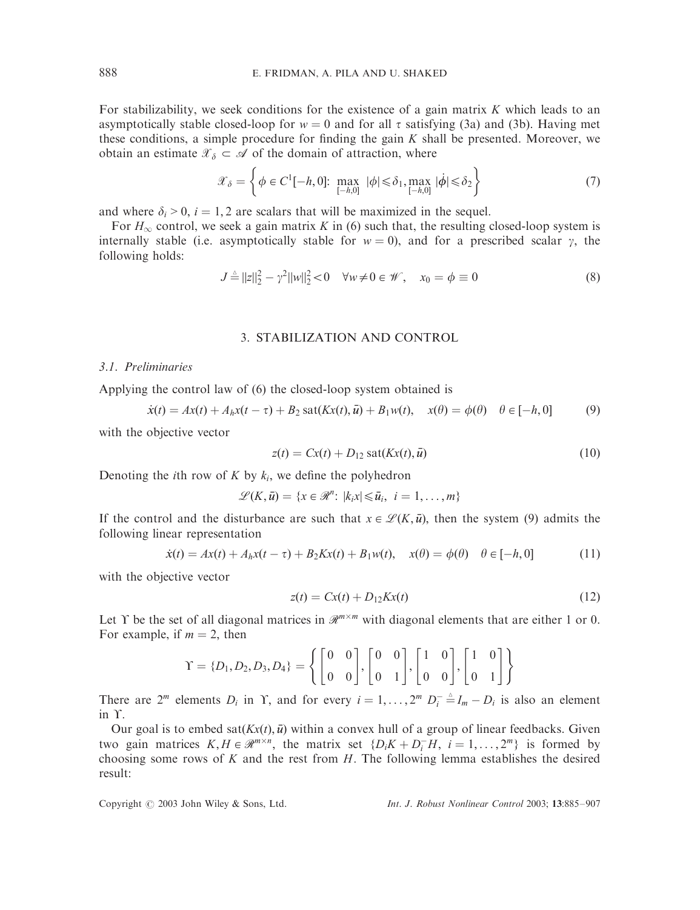For stabilizability, we seek conditions for the existence of a gain matrix *K* which leads to an asymptotically stable closed-loop for  $w = 0$  and for all  $\tau$  satisfying (3a) and (3b). Having met these conditions, a simple procedure for finding the gain *K* shall be presented. Moreover, we obtain an estimate  $\mathcal{X}_{\delta} \subset \mathcal{A}$  of the domain of attraction, where

$$
\mathcal{X}_{\delta} = \left\{ \phi \in C^{1}[-h, 0]; \max_{[-h, 0]} |\phi| \leq \delta_{1}, \max_{[-h, 0]} |\dot{\phi}| \leq \delta_{2} \right\}
$$
 (7)

and where  $\delta_i > 0$ ,  $i = 1, 2$  are scalars that will be maximized in the sequel.

For  $H_{\infty}$  control, we seek a gain matrix *K* in (6) such that, the resulting closed-loop system is internally stable (i.e. asymptotically stable for  $w = 0$ ), and for a prescribed scalar  $\gamma$ , the following holds:

$$
J \stackrel{\Delta}{=} ||z||_2^2 - \gamma^2 ||w||_2^2 < 0 \quad \forall w \neq 0 \in \mathcal{W}, \quad x_0 = \phi \equiv 0 \tag{8}
$$

# 3. STABILIZATION AND CONTROL

#### 3.1. Preliminaries

Applying the control law of (6) the closed-loop system obtained is

$$
\dot{x}(t) = Ax(t) + A_h x(t - \tau) + B_2 \text{ sat}(Kx(t), \bar{u}) + B_1 w(t), \quad x(\theta) = \phi(\theta) \quad \theta \in [-h, 0]
$$
 (9)

with the objective vector

$$
z(t) = Cx(t) + D_{12} \operatorname{sat}(Kx(t), \bar{u})
$$
\n(10)

Denoting the *i*th row of  $K$  by  $k_i$ , we define the polyhedron

$$
\mathscr{L}(K,\bar{u}) = \{x \in \mathscr{R}^n : |k_i x| \leq \bar{u}_i, i = 1,\ldots,m\}
$$

If the control and the disturbance are such that  $x \in \mathcal{L}(K, \bar{u})$ , then the system (9) admits the following linear representation

$$
\dot{x}(t) = Ax(t) + A_h x(t - \tau) + B_2 K x(t) + B_1 w(t), \quad x(\theta) = \phi(\theta) \quad \theta \in [-h, 0]
$$
 (11)

with the objective vector

$$
z(t) = Cx(t) + D_{12}Kx(t)
$$
\n(12)

Let Y be the set of all diagonal matrices in  $\mathcal{R}^{m \times m}$  with diagonal elements that are either 1 or 0. For example, if  $m = 2$ , then

$$
\Upsilon = \{D_1, D_2, D_3, D_4\} = \left\{ \begin{bmatrix} 0 & 0 \\ 0 & 0 \end{bmatrix}, \begin{bmatrix} 0 & 0 \\ 0 & 1 \end{bmatrix}, \begin{bmatrix} 1 & 0 \\ 0 & 0 \end{bmatrix}, \begin{bmatrix} 1 & 0 \\ 0 & 1 \end{bmatrix} \right\}
$$

There are  $2^m$  elements  $D_i$  in Y, and for every  $i = 1, ..., 2^m$   $D_i^- \triangleq I_m - D_i$  is also an element  $in \Upsilon$ .

Our goal is to embed sat $(Kx(t), \bar{u})$  within a convex hull of a group of linear feedbacks. Given two gain matrices  $K, H \in \mathbb{R}^{m \times n}$ , the matrix set  $\{D_i K + D_i^- H, i = 1, ..., 2^m\}$  is formed by choosing some rows of *K* and the rest from *H*: The following lemma establishes the desired result: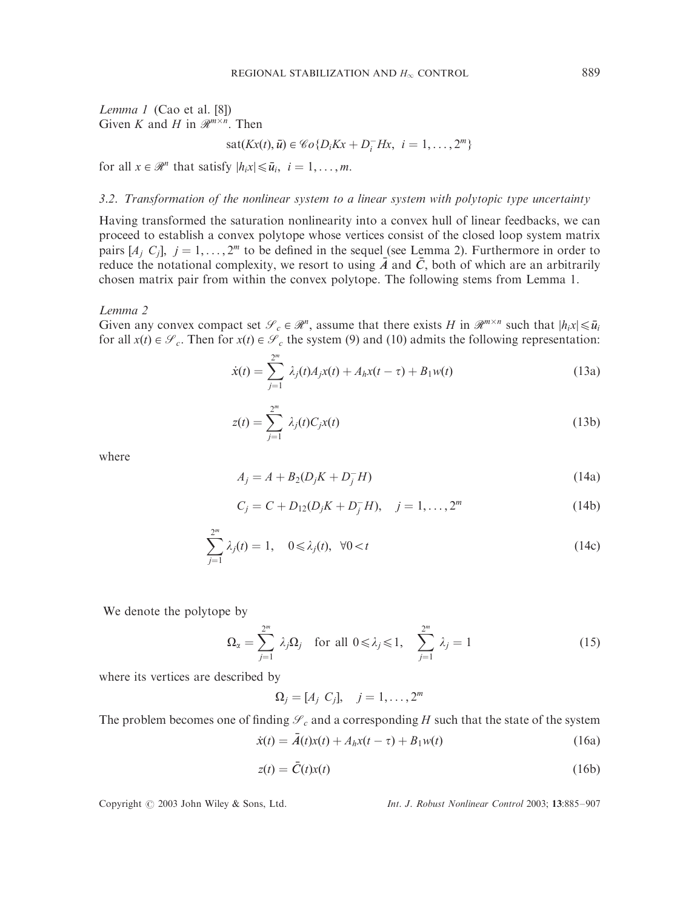Lemma 1 (Cao et al. [8]) Given *K* and *H* in  $\mathcal{R}^{m \times n}$ . Then

$$
sat(Kx(t),\bar{u})\in \mathscr{C}o\{D_iKx+D_i^-Hx,\ i=1,\ldots,2^m\}
$$

for all  $x \in \mathcal{R}^n$  that satisfy  $|h_i x| \leq \bar{u}_i$ ,  $i = 1, \ldots, m$ .

# 3.2. Transformation of the nonlinear system to a linear system with polytopic type uncertainty

Having transformed the saturation nonlinearity into a convex hull of linear feedbacks, we can proceed to establish a convex polytope whose vertices consist of the closed loop system matrix pairs  $[A_i, C_i]$ ,  $j = 1, ..., 2^m$  to be defined in the sequel (see Lemma 2). Furthermore in order to reduce the notational complexity, we resort to using  $\overline{A}$  and  $\overline{C}$ , both of which are an arbitrarily chosen matrix pair from within the convex polytope. The following stems from Lemma 1.

#### Lemma 2

Given any convex compact set  $\mathcal{S}_c \in \mathcal{R}^n$ , assume that there exists *H* in  $\mathcal{R}^{m \times n}$  such that  $|h_i x| \leq \bar{u}_i$ for all  $x(t) \in \mathcal{S}_c$ . Then for  $x(t) \in \mathcal{S}_c$  the system (9) and (10) admits the following representation:

$$
\dot{x}(t) = \sum_{j=1}^{2^m} \lambda_j(t) A_j x(t) + A_h x(t - \tau) + B_1 w(t)
$$
\n(13a)

$$
z(t) = \sum_{j=1}^{2^m} \lambda_j(t) C_j x(t) \tag{13b}
$$

where

$$
A_j = A + B_2(D_j K + D_j^- H) \tag{14a}
$$

$$
C_j = C + D_{12}(D_j K + D_j^- H), \quad j = 1, ..., 2^m
$$
 (14b)

$$
\sum_{j=1}^{2^m} \lambda_j(t) = 1, \quad 0 \le \lambda_j(t), \ \forall 0 < t \tag{14c}
$$

We denote the polytope by

$$
\Omega_{\alpha} = \sum_{j=1}^{2^m} \lambda_j \Omega_j \quad \text{for all } 0 \le \lambda_j \le 1, \quad \sum_{j=1}^{2^m} \lambda_j = 1 \tag{15}
$$

where its vertices are described by

$$
\Omega_j=[A_j\ C_j],\quad j=1,\ldots,2^m
$$

The problem becomes one of finding  $\mathcal{S}_c$  and a corresponding *H* such that the state of the system

$$
\dot{x}(t) = \bar{A}(t)x(t) + A_h x(t - \tau) + B_1 w(t)
$$
\n(16a)

$$
z(t) = \bar{C}(t)x(t) \tag{16b}
$$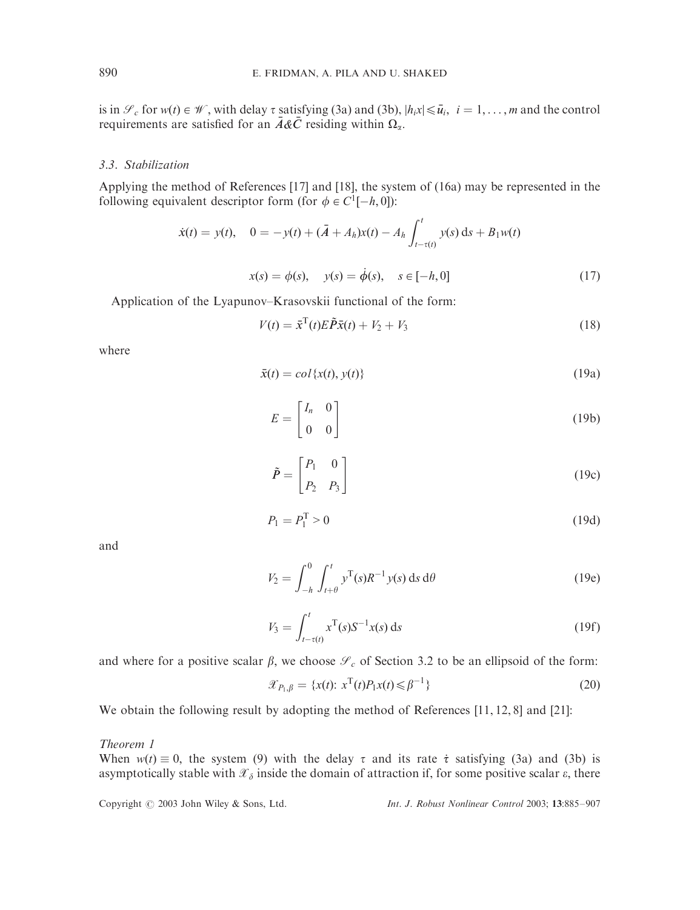is in  $\mathcal{S}_c$  for  $w(t) \in \mathcal{W}$ , with delay  $\tau$  satisfying (3a) and (3b),  $|h_i x| \leq \bar{u}_i$ ,  $i = 1, ..., m$  and the control requirements are satisfied for an  $\overline{A\&C}$  residing within  $\Omega_{\alpha}$ .

# 3.3. Stabilization

Applying the method of References [17] and [18], the system of (16a) may be represented in the following equivalent descriptor form (for  $\phi \in C^1[-h, 0]$ ):

$$
\dot{x}(t) = y(t), \quad 0 = -y(t) + (\bar{A} + A_h)x(t) - A_h \int_{t-\tau(t)}^t y(s) \, ds + B_1 w(t)
$$

$$
x(s) = \phi(s), \quad y(s) = \dot{\phi}(s), \quad s \in [-h, 0]
$$
\n(17)

Application of the Lyapunov–Krasovskii functional of the form:

$$
V(t) = \bar{x}^{\mathrm{T}}(t)E\tilde{P}\bar{x}(t) + V_2 + V_3
$$
\n(18)

where

$$
\bar{x}(t) = col\{x(t), y(t)\}\tag{19a}
$$

$$
E = \begin{bmatrix} I_n & 0 \\ 0 & 0 \end{bmatrix} \tag{19b}
$$

$$
\tilde{P} = \begin{bmatrix} P_1 & 0 \\ P_2 & P_3 \end{bmatrix} \tag{19c}
$$

$$
P_1 = P_1^{\mathrm{T}} > 0 \tag{19d}
$$

and

$$
V_2 = \int_{-h}^{0} \int_{t+\theta}^{t} y^{\mathrm{T}}(s) R^{-1} y(s) \, \mathrm{d}s \, \mathrm{d}\theta \tag{19e}
$$

$$
V_3 = \int_{t-\tau(t)}^t x^{\mathrm{T}}(s) S^{-1} x(s) \, \mathrm{d}s \tag{19f}
$$

and where for a positive scalar  $\beta$ , we choose  $\mathcal{S}_c$  of Section 3.2 to be an ellipsoid of the form:

$$
\mathcal{X}_{P_1,\beta} = \{x(t): \, x^{\mathrm{T}}(t)P_1x(t) \leq \beta^{-1}\}\tag{20}
$$

We obtain the following result by adopting the method of References [11, 12, 8] and [21]:

## Theorem 1

When  $w(t) \equiv 0$ , the system (9) with the delay  $\tau$  and its rate  $\dot{\tau}$  satisfying (3a) and (3b) is asymptotically stable with  $\mathcal{X}_{\delta}$  inside the domain of attraction if, for some positive scalar  $\varepsilon$ , there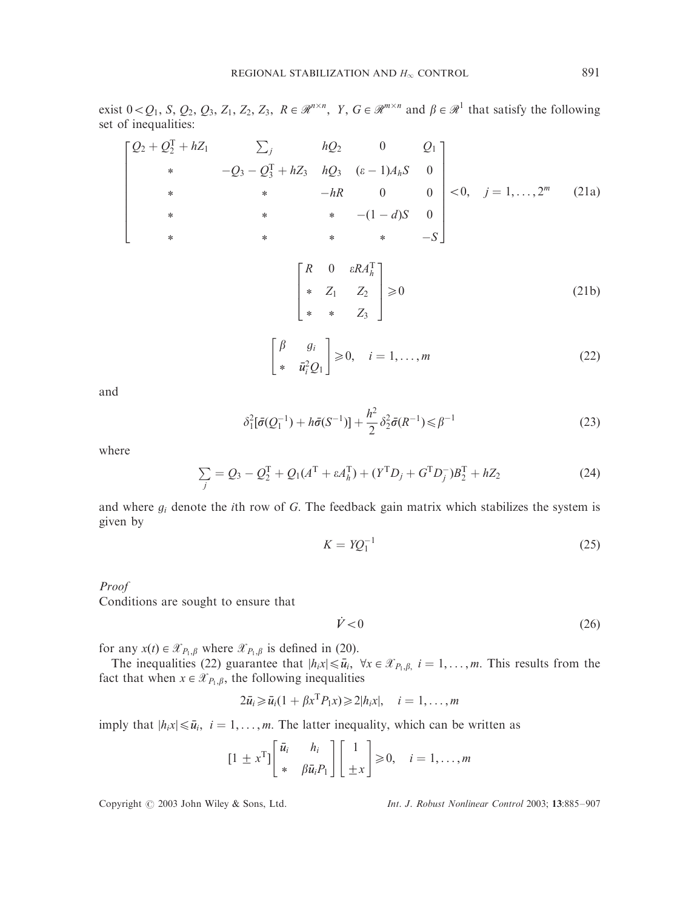exist  $0 < Q_1$ , *S*,  $Q_2$ ,  $Q_3$ ,  $Z_1$ ,  $Z_2$ ,  $Z_3$ ,  $R \in \mathbb{R}^{n \times n}$ ,  $Y$ ,  $G \in \mathbb{R}^{m \times n}$  and  $\beta \in \mathbb{R}^1$  that satisfy the following set of inequalities:

$$
\begin{bmatrix}\nQ_2 + Q_2^T + hZ_1 & \sum_j & hQ_2 & 0 & Q_1 \\
\ast & -Q_3 - Q_3^T + hZ_3 & hQ_3 & (\epsilon - 1)A_hS & 0 \\
\ast & \ast & -hR & 0 & 0 \\
\ast & \ast & \ast & -(1 - d)S & 0 \\
\ast & \ast & \ast & \ast & -S\n\end{bmatrix} < 0, j = 1, ..., 2^m \quad (21a)
$$
\n
$$
\begin{bmatrix}\nR & 0 & \epsilon RA_h^T \\
\ast & Z_1 & Z_2 \\
\ast & \ast & Z_3\n\end{bmatrix} \ge 0
$$
\n
$$
(21b)
$$

$$
\begin{bmatrix} \beta & g_i \\ * & \bar{u}_i^2 Q_1 \end{bmatrix} \geq 0, \quad i = 1, \dots, m
$$
 (22)

and

$$
\delta_1^2[\bar{\sigma}(Q_1^{-1}) + h\bar{\sigma}(S^{-1})] + \frac{h^2}{2} \delta_2^2 \bar{\sigma}(R^{-1}) \leq \beta^{-1}
$$
\n(23)

where

$$
\sum_{j} = Q_3 - Q_2^{\mathrm{T}} + Q_1(A^{\mathrm{T}} + \varepsilon A_h^{\mathrm{T}}) + (Y^{\mathrm{T}} D_j + G^{\mathrm{T}} D_j^{\mathrm{T}}) B_2^{\mathrm{T}} + hZ_2 \tag{24}
$$

and where *gi* denote the *i*th row of *G*: The feedback gain matrix which stabilizes the system is given by

$$
K = YQ_1^{-1} \tag{25}
$$

#### Proof

Conditions are sought to ensure that

 $\dot{V} < 0$  (26)

for any  $x(t) \in \mathcal{X}_{P_1,\beta}$  where  $\mathcal{X}_{P_1,\beta}$  is defined in (20).

The inequalities (22) guarantee that  $|h_i x| \leq \bar{u}_i$ ,  $\forall x \in \mathcal{X}_{P_1,\beta_i}$ ,  $i = 1, \ldots, m$ . This results from the fact that when  $x \in \mathcal{X}_{P_1,\beta}$ , the following inequalities

$$
2\bar{u}_i \geq \bar{u}_i(1 + \beta x^{\mathrm{T}} P_1 x) \geq 2|h_i x|, \quad i = 1, \ldots, m
$$

imply that  $|h_i x| \le \bar{u}_i$ ,  $i = 1, ..., m$ . The latter inequality, which can be written as

$$
\begin{bmatrix} 1 \pm x^{\mathrm{T}} \end{bmatrix} \begin{bmatrix} \bar{u}_i & h_i \\ * & \beta \bar{u}_i P_1 \end{bmatrix} \begin{bmatrix} 1 \\ \pm x \end{bmatrix} \geq 0, \quad i = 1, \dots, m
$$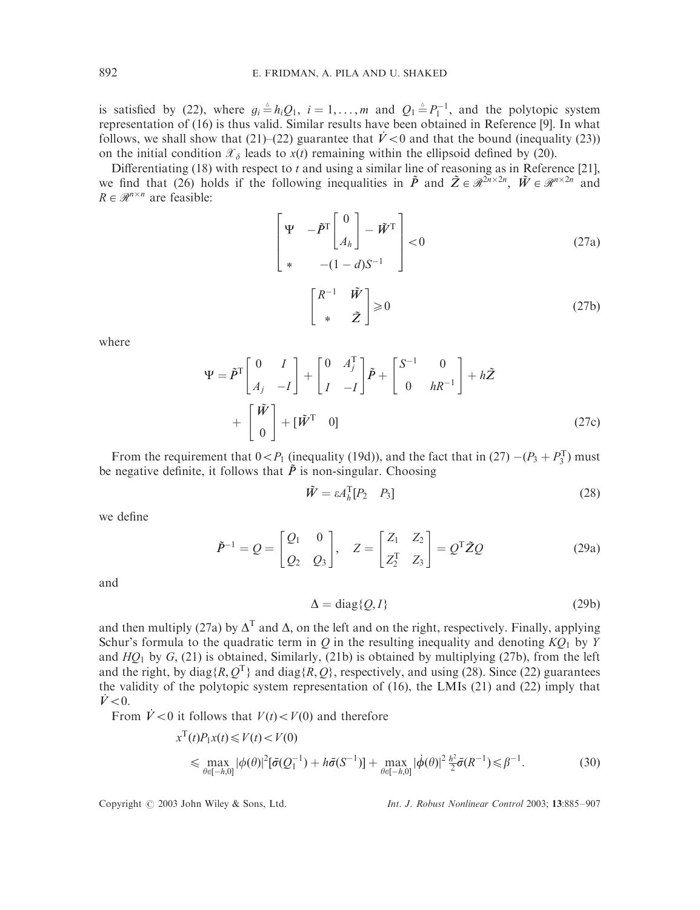is satisfied by (22), where  $g_i \triangleq h_iQ_1$ ,  $i = 1, ..., m$  and  $Q_1 \triangleq P_1^{-1}$ , and the polytopic system representation of (16) is thus valid. Similar results have been obtained in Reference [9]. In what follows, we shall show that  $(21)$ – $(22)$  guarantee that  $\dot{V}$  < 0 and that the bound (inequality (23)) on the initial condition  $\mathcal{X}_{\delta}$  leads to  $x(t)$  remaining within the ellipsoid defined by (20).

Differentiating (18) with respect to *t* and using a similar line of reasoning as in Reference [21], we find that (26) holds if the following inequalities in  $\tilde{P}$  and  $\tilde{Z} \in \mathbb{R}^{2n \times 2n}$ ,  $\tilde{W} \in \mathbb{R}^{n \times 2n}$  and  $R \in \mathcal{R}^{n \times n}$  are feasible:

$$
\begin{bmatrix} \Psi & -\tilde{P}^{\mathrm{T}} \begin{bmatrix} 0 \\ A_h \end{bmatrix} - \tilde{W}^{\mathrm{T}} \\ * & -(1-d)S^{-1} \end{bmatrix} < 0
$$
 (27a)

$$
\begin{bmatrix} R^{-1} & \tilde{W} \\ * & \tilde{Z} \end{bmatrix} \geq 0
$$
 (27b)

where

$$
\Psi = \tilde{P}^{\text{T}} \begin{bmatrix} 0 & I \\ A_j & -I \end{bmatrix} + \begin{bmatrix} 0 & A_j^{\text{T}} \\ I & -I \end{bmatrix} \tilde{P} + \begin{bmatrix} S^{-1} & 0 \\ 0 & hR^{-1} \end{bmatrix} + h\tilde{Z} + \begin{bmatrix} \tilde{W} \\ 0 \end{bmatrix} + [\tilde{W}^{\text{T}} \quad 0] \tag{27c}
$$

From the requirement that  $0 < P_1$  (inequality (19d)), and the fact that in (27)  $-(P_3 + P_3^T)$  must be negative definite, it follows that  $\tilde{P}$  is non-singular. Choosing

$$
\tilde{W} = \varepsilon A_h^{\mathrm{T}} [P_2 \quad P_3] \tag{28}
$$

we define

$$
\tilde{P}^{-1} = Q = \begin{bmatrix} Q_1 & 0 \\ Q_2 & Q_3 \end{bmatrix}, \quad Z = \begin{bmatrix} Z_1 & Z_2 \\ Z_2^T & Z_3 \end{bmatrix} = Q^T \tilde{Z} Q \tag{29a}
$$

and

$$
\Delta = \text{diag}\{Q, I\} \tag{29b}
$$

and then multiply (27a) by  $\Delta^T$  and  $\Delta$ , on the left and on the right, respectively. Finally, applying Schur's formula to the quadratic term in  $Q$  in the resulting inequality and denoting  $KQ_1$  by  $Y$ and  $HO_1$  by  $G<sub>1</sub>$ , (21) is obtained, Similarly, (21b) is obtained by multiplying (27b), from the left and the right, by diag{*R*,  $Q^T$ } and diag{*R*,  $Q$ }, respectively, and using (28). Since (22) guarantees the validity of the polytopic system representation of (16), the LMIs (21) and (22) imply that  $\dot{V}$  < 0.

From  $\dot{V} < 0$  it follows that  $V(t) < V(0)$  and therefore

$$
x^{T}(t)P_{1}x(t) \leq V(t) < V(0)
$$
\n
$$
\leq \max_{\theta \in [-h,0]} |\phi(\theta)|^{2} [\bar{\sigma}(Q_{1}^{-1}) + h\bar{\sigma}(S^{-1})] + \max_{\theta \in [-h,0]} |\dot{\phi}(\theta)|^{2} \frac{h^{2}}{2} \bar{\sigma}(R^{-1}) \leq \beta^{-1}.
$$
\n
$$
(30)
$$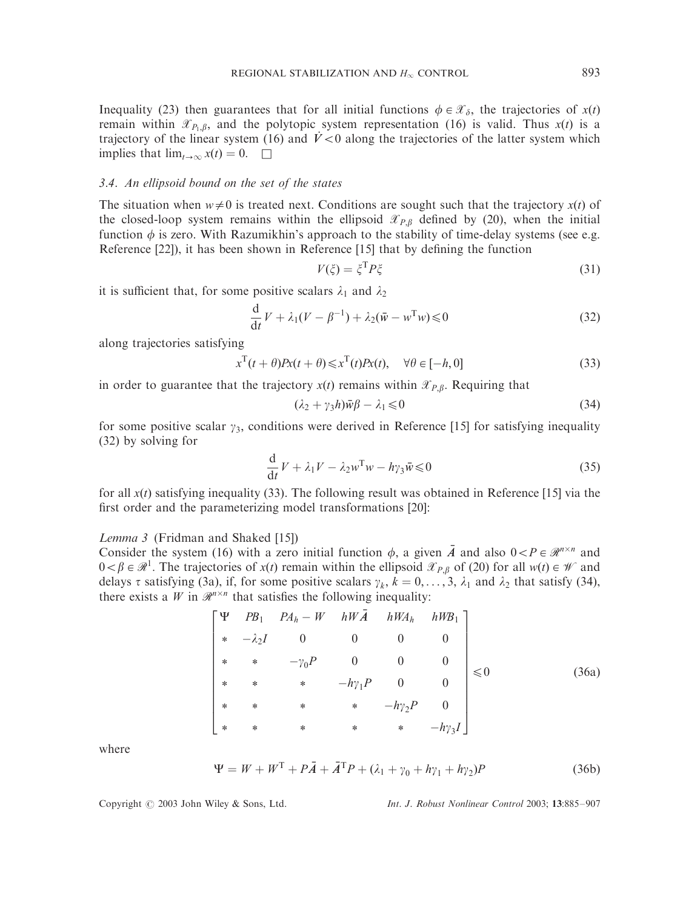Inequality (23) then guarantees that for all initial functions  $\phi \in \mathcal{X}_{\delta}$ , the trajectories of  $x(t)$ remain within  $\mathcal{X}_{P_1,\beta}$ , and the polytopic system representation (16) is valid. Thus  $x(t)$  is a trajectory of the linear system (16) and  $\dot{V} < 0$  along the trajectories of the latter system which implies that  $\lim_{t\to\infty} x(t) = 0.$ 

## 3.4. An ellipsoid bound on the set of the states

The situation when  $w \neq 0$  is treated next. Conditions are sought such that the trajectory  $x(t)$  of the closed-loop system remains within the ellipsoid  $\mathcal{X}_{P,\beta}$  defined by (20), when the initial function  $\phi$  is zero. With Razumikhin's approach to the stability of time-delay systems (see e.g. Reference [22]), it has been shown in Reference [15] that by defining the function

$$
V(\xi) = \xi^{\mathrm{T}} P \xi \tag{31}
$$

it is sufficient that, for some positive scalars  $\lambda_1$  and  $\lambda_2$ 

$$
\frac{\mathrm{d}}{\mathrm{d}t}V + \lambda_1(V - \beta^{-1}) + \lambda_2(\bar{w} - w^{\mathrm{T}}w) \leq 0 \tag{32}
$$

along trajectories satisfying

$$
x^{T}(t+\theta)Px(t+\theta) \leq x^{T}(t)Px(t), \quad \forall \theta \in [-h, 0]
$$
\n(33)

in order to guarantee that the trajectory  $x(t)$  remains within  $\mathcal{X}_{P,\beta}$ . Requiring that

$$
(\lambda_2 + \gamma_3 h)\bar{w}\beta - \lambda_1 \leq 0 \tag{34}
$$

for some positive scalar  $\gamma_3$ , conditions were derived in Reference [15] for satisfying inequality (32) by solving for

$$
\frac{\mathrm{d}}{\mathrm{d}t}V + \lambda_1 V - \lambda_2 w^{\mathrm{T}} w - h\gamma_3 \bar{w} \leq 0 \tag{35}
$$

for all  $x(t)$  satisfying inequality (33). The following result was obtained in Reference [15] via the first order and the parameterizing model transformations [20]:

Lemma 3 (Fridman and Shaked [15])

Consider the system (16) with a zero initial function  $\phi$ , a given  $\bar{A}$  and also  $0 < P \in \mathcal{R}^{n \times n}$  and  $0 < \beta \in \mathcal{R}^1$ . The trajectories of  $x(t)$  remain within the ellipsoid  $\mathcal{X}_{P,\beta}$  of (20) for all  $w(t) \in \mathcal{W}$  and delays  $\tau$  satisfying (3a), if, for some positive scalars  $\gamma_k$ ,  $k = 0, \ldots, 3$ ,  $\lambda_1$  and  $\lambda_2$  that satisfy (34), there exists a  $W$  in  $\mathcal{R}^{n \times n}$  that satisfies the following inequality:

$$
\begin{bmatrix}\n\Psi & PB_1 & PA_h - W & hW\overline{A} & hW A_h & hW B_1 \\
* & -\lambda_2 I & 0 & 0 & 0 & 0 \\
* & * & -\gamma_0 P & 0 & 0 & 0 \\
* & * & * & -h\gamma_1 P & 0 & 0 \\
* & * & * & * & -h\gamma_2 P & 0 \\
* & * & * & * & * & -h\gamma_3 I\n\end{bmatrix} \leq 0
$$
\n(36a)

where

$$
\Psi = W + WT + P\overline{A} + \overline{A}^{\mathrm{T}}P + (\lambda_1 + \gamma_0 + h\gamma_1 + h\gamma_2)P
$$
 (36b)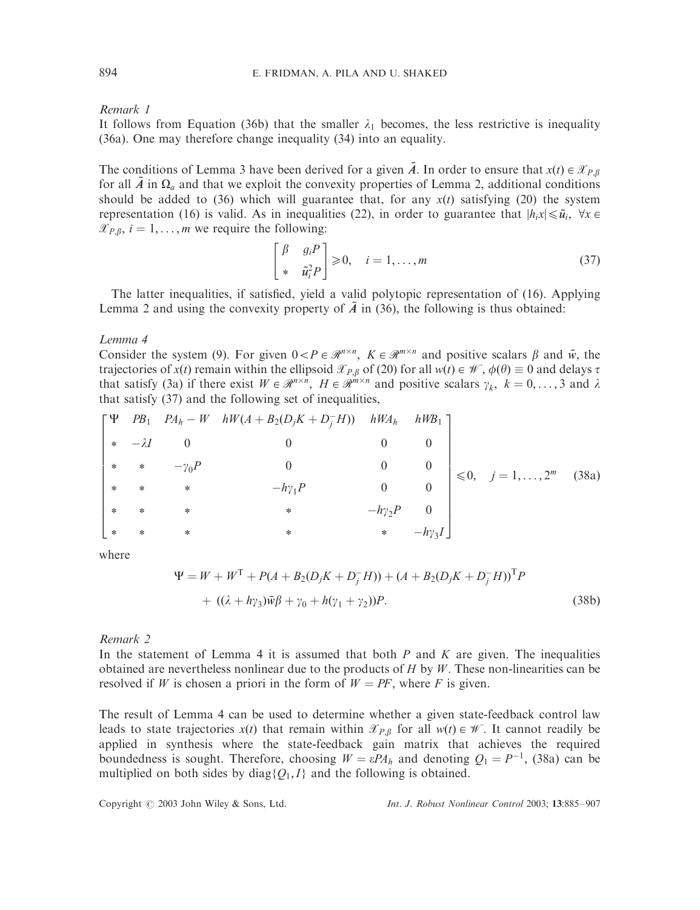Remark 1

It follows from Equation (36b) that the smaller  $\lambda_1$  becomes, the less restrictive is inequality (36a). One may therefore change inequality (34) into an equality.

The conditions of Lemma 3 have been derived for a given  $\overline{A}$ . In order to ensure that  $x(t) \in \mathcal{X}_{P,B}$ for all  $\bar{A}$  in  $\Omega_a$  and that we exploit the convexity properties of Lemma 2, additional conditions should be added to (36) which will guarantee that, for any  $x(t)$  satisfying (20) the system representation (16) is valid. As in inequalities (22), in order to guarantee that  $|h_i x| \leq \bar{u}_i$ ,  $\forall x \in$  $\mathscr{X}_{P,\beta}$ ,  $i = 1, \ldots, m$  we require the following:

$$
\begin{bmatrix} \beta & g_i P \\ * & \bar{u}_i^2 P \end{bmatrix} \geq 0, \quad i = 1, \dots, m
$$
 (37)

The latter inequalities, if satisfied, yield a valid polytopic representation of (16). Applying Lemma 2 and using the convexity property of  $\overline{A}$  in (36), the following is thus obtained:

Lemma 4

Consider the system (9). For given  $0 < P \in \mathcal{R}^{n \times n}$ ,  $K \in \mathcal{R}^{m \times n}$  and positive scalars  $\beta$  and  $\bar{w}$ , the trajectories of  $x(t)$  remain within the ellipsoid  $\mathcal{X}_{P,\beta}$  of (20) for all  $w(t) \in \mathcal{W}$ ,  $\phi(\theta) \equiv 0$  and delays  $\tau$ that satisfy (3a) if there exist  $W \in \mathbb{R}^{n \times n}$ ,  $H \in \mathbb{R}^{m \times n}$  and positive scalars  $\gamma_k$ ,  $k = 0, \ldots, 3$  and  $\lambda$ that satisfy (37) and the following set of inequalities,

$$
\begin{bmatrix}\n\Psi & PB_1 & PA_h - W & hW(A + B_2(D_jK + D_j^-H)) & hW A_h & hW B_1 \\
* & -\lambda I & 0 & 0 & 0 & 0 \\
* & * & -\gamma_0 P & 0 & 0 & 0 \\
* & * & * & -h\gamma_1 P & 0 & 0 \\
* & * & * & * & -h\gamma_2 P & 0 \\
* & * & * & * & * & -h\gamma_3 I\n\end{bmatrix} \le 0, j = 1, ..., 2^m
$$
\n(38a)

where

$$
\Psi = W + W^{T} + P(A + B_{2}(D_{j}K + D_{j}^{-}H)) + (A + B_{2}(D_{j}K + D_{j}^{-}H))^{T}P
$$
  
+ ((\lambda + h\gamma\_{3})\bar{w}\beta + \gamma\_{0} + h(\gamma\_{1} + \gamma\_{2}))P. (38b)

Remark 2

In the statement of Lemma 4 it is assumed that both *P* and *K* are given. The inequalities obtained are nevertheless nonlinear due to the products of *H* by *W* : These non-linearities can be resolved if *W* is chosen a priori in the form of  $W = PF$ , where *F* is given.

The result of Lemma 4 can be used to determine whether a given state-feedback control law leads to state trajectories  $x(t)$  that remain within  $\mathcal{X}_{P,B}$  for all  $w(t) \in \mathcal{W}$ . It cannot readily be applied in synthesis where the state-feedback gain matrix that achieves the required boundedness is sought. Therefore, choosing  $W = \varepsilon P A_h$  and denoting  $Q_1 = P^{-1}$ , (38a) can be multiplied on both sides by diag $\{Q_1, I\}$  and the following is obtained.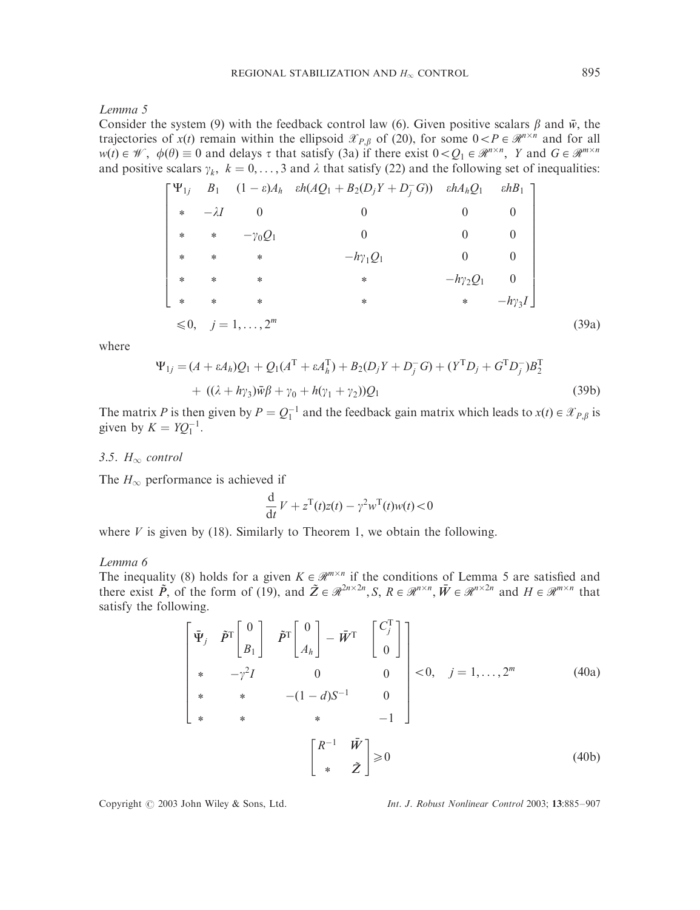Lemma 5

Consider the system (9) with the feedback control law (6). Given positive scalars  $\beta$  and  $\bar{w}$ , the trajectories of  $x(t)$  remain within the ellipsoid  $\mathcal{X}_{P,\beta}$  of (20), for some  $0 < P \in \mathcal{R}^{n \times n}$  and for all  $w(t) \in \mathcal{W}$ ,  $\phi(\theta) \equiv 0$  and delays  $\tau$  that satisfy (3a) if there exist  $0 < Q_1 \in \mathcal{R}^{n \times n}$ , *Y* and  $G \in \mathcal{R}^{m \times n}$ and positive scalars  $\gamma_k$ ,  $k = 0, \ldots, 3$  and  $\lambda$  that satisfy (22) and the following set of inequalities:

$$
\begin{bmatrix}\n\Psi_{1j} & B_1 & (1 - \varepsilon)A_h & \varepsilon h(AQ_1 + B_2(D_jY + D_j^-G)) & \varepsilon hA_hQ_1 & \varepsilon hB_1 \\
* & -\lambda I & 0 & 0 & 0 & 0 \\
* & * & -\gamma_0Q_1 & 0 & 0 & 0 \\
* & * & * & -h\gamma_1Q_1 & 0 & 0 \\
* & * & * & * & -h\gamma_2Q_1 & 0 \\
* & * & * & * & * & -h\gamma_3I\n\end{bmatrix}
$$
\n
$$
\leq 0, \quad j = 1, ..., 2^m
$$
\n(39a)

where

$$
\Psi_{1j} = (A + \varepsilon A_h)Q_1 + Q_1(A^{\mathsf{T}} + \varepsilon A_h^{\mathsf{T}}) + B_2(D_j Y + D_j^{\mathsf{T}} G) + (Y^{\mathsf{T}} D_j + G^{\mathsf{T}} D_j^{\mathsf{T}})B_2^{\mathsf{T}} + ((\lambda + h\gamma_3)\bar{w}\beta + \gamma_0 + h(\gamma_1 + \gamma_2))Q_1
$$
\n(39b)

The matrix *P* is then given by  $P = Q_1^{-1}$  and the feedback gain matrix which leads to  $x(t) \in \mathcal{X}_{P,\beta}$  is given by  $K = YQ_1^{-1}$ .

#### 3.5.  $H_{\infty}$  control

The  $H_{\infty}$  performance is achieved if

$$
\frac{\mathrm{d}}{\mathrm{d}t}V + z^{\mathrm{T}}(t)z(t) - \gamma^2 w^{\mathrm{T}}(t)w(t) < 0
$$

where  $V$  is given by (18). Similarly to Theorem 1, we obtain the following.

#### Lemma 6

The inequality (8) holds for a given  $K \in \mathcal{R}^{m \times n}$  if the conditions of Lemma 5 are satisfied and there exist  $\tilde{P}$ , of the form of (19), and  $\tilde{Z} \in \mathcal{R}^{2n \times 2n}$ ,  $S, R \in \mathcal{R}^{n \times n}$ ,  $\bar{W} \in \mathcal{R}^{n \times 2n}$  and  $H \in \mathcal{R}^{m \times n}$  that satisfy the following.

$$
\begin{bmatrix} \bar{\Psi}_j & \tilde{P}^T \begin{bmatrix} 0 \\ B_1 \end{bmatrix} & \tilde{P}^T \begin{bmatrix} 0 \\ A_h \end{bmatrix} - \bar{W}^T & \begin{bmatrix} C_j^T \\ 0 \end{bmatrix} \\ * & -\gamma^2 I & 0 & 0 \\ * & * & -(1-d)S^{-1} & 0 \\ * & * & * & -1 \end{bmatrix} < 0, \quad j = 1, ..., 2^m \tag{40a}
$$
\n
$$
\begin{bmatrix} R^{-1} & \bar{W} \\ * & \tilde{Z} \end{bmatrix} \ge 0 \tag{40b}
$$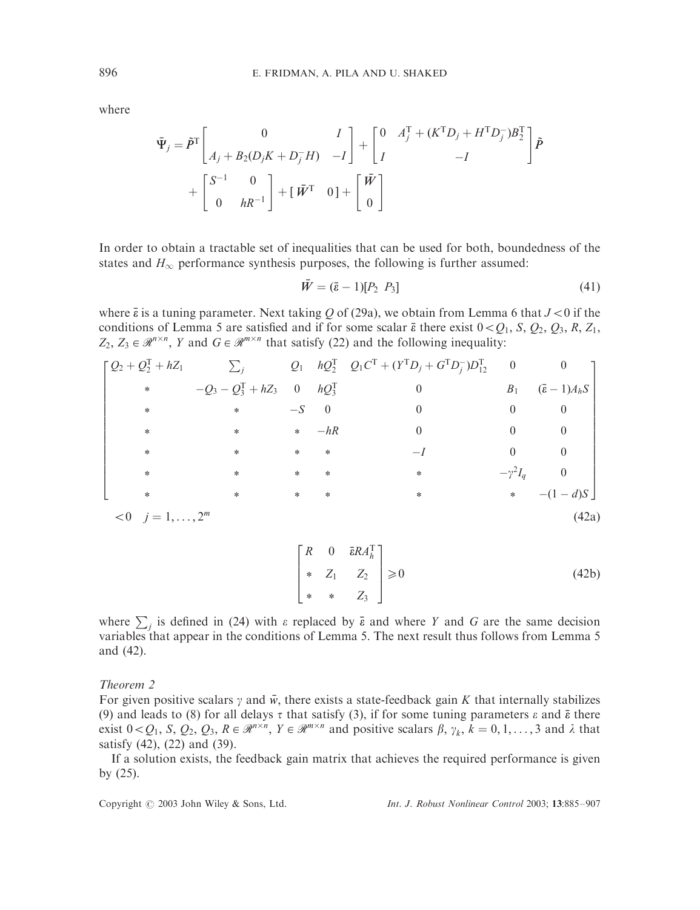where

$$
\begin{aligned}\n\tilde{\Psi}_j &= \tilde{P}^{\mathrm{T}} \begin{bmatrix} 0 & I \\ A_j + B_2(D_j K + D_j^- H) & -I \end{bmatrix} + \begin{bmatrix} 0 & A_j^{\mathrm{T}} + (K^{\mathrm{T}} D_j + H^{\mathrm{T}} D_j^-) B_2^{\mathrm{T}} \\ I & -I \end{bmatrix} \tilde{P} \\
&+ \begin{bmatrix} S^{-1} & 0 \\ 0 & h R^{-1} \end{bmatrix} + \begin{bmatrix} \bar{W}^{\mathrm{T}} & 0 \end{bmatrix} + \begin{bmatrix} \bar{W} \\ 0 \end{bmatrix}\n\end{aligned}
$$

In order to obtain a tractable set of inequalities that can be used for both, boundedness of the states and  $H_{\infty}$  performance synthesis purposes, the following is further assumed:

$$
\bar{W} = (\bar{\varepsilon} - 1)[P_2 \ P_3] \tag{41}
$$

where  $\bar{\epsilon}$  is a tuning parameter. Next taking *Q* of (29a), we obtain from Lemma 6 that  $J < 0$  if the conditions of Lemma 5 are satisfied and if for some scalar  $\bar{\epsilon}$  there exist  $0 < Q_1$ , *S*,  $Q_2$ ,  $Q_3$ , *R*,  $Z_1$ ,  $Z_2, Z_3 \in \mathcal{R}^{n \times n}$ , *Y* and  $G \in \mathcal{R}^{m \times n}$  that satisfy (22) and the following inequality:

$$
\begin{bmatrix}\nQ_2 + Q_2^T + hZ_1 & \sum_j & Q_1 & hQ_2^T & Q_1C^T + (Y^TD_j + G^TD_j^T)D_{12}^T & 0 & 0 \\
\ast & -Q_3 - Q_3^T + hZ_3 & 0 & hQ_3^T & 0 & B_1 & (\bar{\varepsilon} - 1)A_hS \\
\ast & \ast & -S & 0 & 0 & 0 & 0 \\
\ast & \ast & \ast & \ast & -hR & 0 & 0 & 0 \\
\ast & \ast & \ast & \ast & \ast & -I & 0 & 0 \\
\ast & \ast & \ast & \ast & \ast & \ast & -I & 0 \\
\ast & \ast & \ast & \ast & \ast & \ast & -I & 0 \\
\ast & \ast & \ast & \ast & \ast & \ast & -(1 - d)S\n\end{bmatrix}
$$
\n
$$
<0 \quad j = 1, ..., 2^m
$$
\n(42a)

$$
\begin{bmatrix} R & 0 & \bar{\epsilon} R A_h^{\mathrm{T}} \\ * & Z_1 & Z_2 \\ * & * & Z_3 \end{bmatrix} \ge 0 \tag{42b}
$$

where  $\sum_j$  is defined in (24) with  $\varepsilon$  replaced by  $\bar{\varepsilon}$  and where *Y* and *G* are the same decision variables that appear in the conditions of Lemma 5. The next result thus follows from Lemma 5 and (42).

## Theorem 2

For given positive scalars  $\gamma$  and  $\bar{w}$ , there exists a state-feedback gain *K* that internally stabilizes (9) and leads to (8) for all delays  $\tau$  that satisfy (3), if for some tuning parameters  $\varepsilon$  and  $\bar{\varepsilon}$  there exist  $0 < Q_1$ , *S*,  $Q_2$ ,  $Q_3$ ,  $R \in \mathbb{R}^{n \times n}$ ,  $Y \in \mathbb{R}^{m \times n}$  and positive scalars  $\beta$ ,  $\gamma_k$ ,  $k = 0, 1, ..., 3$  and  $\lambda$  that satisfy (42), (22) and (39).

If a solution exists, the feedback gain matrix that achieves the required performance is given by (25).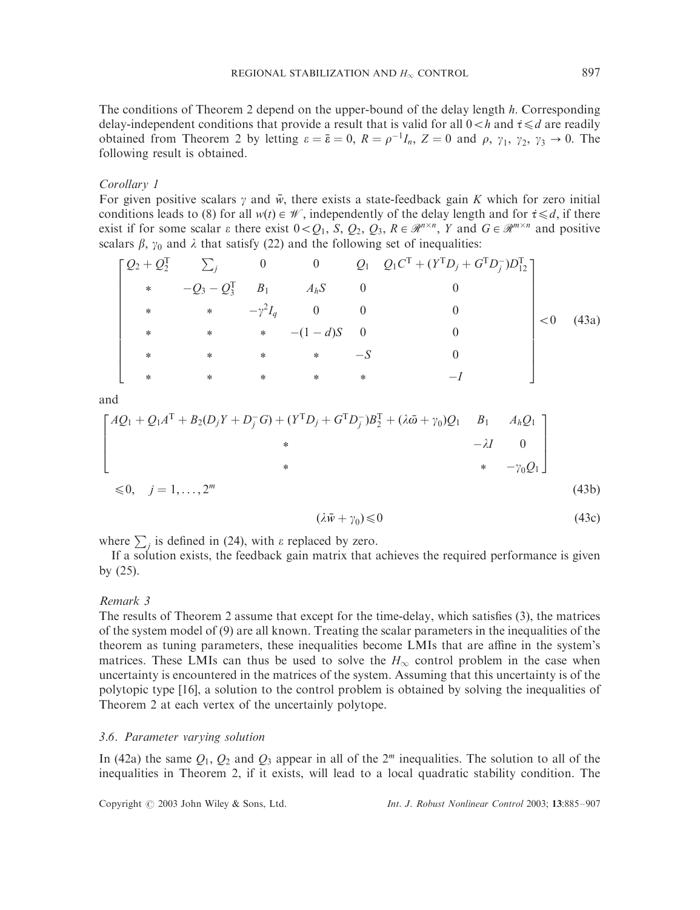The conditions of Theorem 2 depend on the upper-bound of the delay length *h*: Corresponding delay-independent conditions that provide a result that is valid for all  $0 < h$  and  $\tau \le d$  are readily obtained from Theorem 2 by letting  $\varepsilon = \bar{\varepsilon} = 0$ ,  $R = \rho^{-1}I_n$ ,  $Z = 0$  and  $\rho$ ,  $\gamma_1$ ,  $\gamma_2$ ,  $\gamma_3 \to 0$ . The following result is obtained.

#### Corollary 1

For given positive scalars  $\gamma$  and  $\bar{w}$ , there exists a state-feedback gain *K* which for zero initial conditions leads to (8) for all  $w(t) \in \mathcal{W}$ , independently of the delay length and for  $\tau \le d$ , if there exist if for some scalar  $\varepsilon$  there exist  $0 < Q_1$ ,  $S$ ,  $Q_2$ ,  $Q_3$ ,  $R \in \mathbb{R}^{n \times n}$ ,  $Y$  and  $G \in \mathbb{R}^{m \times n}$  and positive scalars  $\beta$ ,  $\gamma_0$  and  $\lambda$  that satisfy (22) and the following set of inequalities:

$$
\begin{bmatrix}\nQ_2 + Q_2^{\mathrm{T}} & \sum_j & 0 & 0 & Q_1 & Q_1 C^{\mathrm{T}} + (Y^{\mathrm{T}} D_j + G^{\mathrm{T}} D_j^{\mathrm{T}}) D_{12}^{\mathrm{T}} \\
\ast & -Q_3 - Q_3^{\mathrm{T}} & B_1 & A_h S & 0 & 0 \\
\ast & \ast & -\gamma^2 I_q & 0 & 0 & 0 \\
\ast & \ast & \ast & - (1 - d) S & 0 & 0 \\
\ast & \ast & \ast & \ast & -S & 0 \\
\ast & \ast & \ast & \ast & \ast & -I\n\end{bmatrix} < 0 \quad (43a)
$$

and

$$
\begin{bmatrix} AQ_1 + Q_1 A^{\mathrm{T}} + B_2 (D_j Y + D_j^{\mathrm{T}} G) + (Y^{\mathrm{T}} D_j + G^{\mathrm{T}} D_j^{\mathrm{T}}) B_2^{\mathrm{T}} + (\lambda \bar{\omega} + \gamma_0) Q_1 & B_1 & A_h Q_1 \\ * & & & & \\ * & & & & \\ * & & & * & -\gamma_0 Q_1 \end{bmatrix}
$$
  

$$
\leq 0, \quad j = 1, ..., 2^m
$$
 (43b)

$$
(\lambda \bar{w} + \gamma_0) \leq 0 \tag{43c}
$$

where  $\sum_j$  is defined in (24), with  $\varepsilon$  replaced by zero.

If a solution exists, the feedback gain matrix that achieves the required performance is given by (25).

#### Remark 3

The results of Theorem 2 assume that except for the time-delay, which satisfies (3), the matrices of the system model of (9) are all known. Treating the scalar parameters in the inequalities of the theorem as tuning parameters, these inequalities become LMIs that are affine in the system's matrices. These LMIs can thus be used to solve the  $H_{\infty}$  control problem in the case when uncertainty is encountered in the matrices of the system. Assuming that this uncertainty is of the polytopic type [16], a solution to the control problem is obtained by solving the inequalities of Theorem 2 at each vertex of the uncertainly polytope.

#### 3.6. Parameter varying solution

In (42a) the same  $Q_1$ ,  $Q_2$  and  $Q_3$  appear in all of the  $2^m$  inequalities. The solution to all of the inequalities in Theorem 2, if it exists, will lead to a local quadratic stability condition. The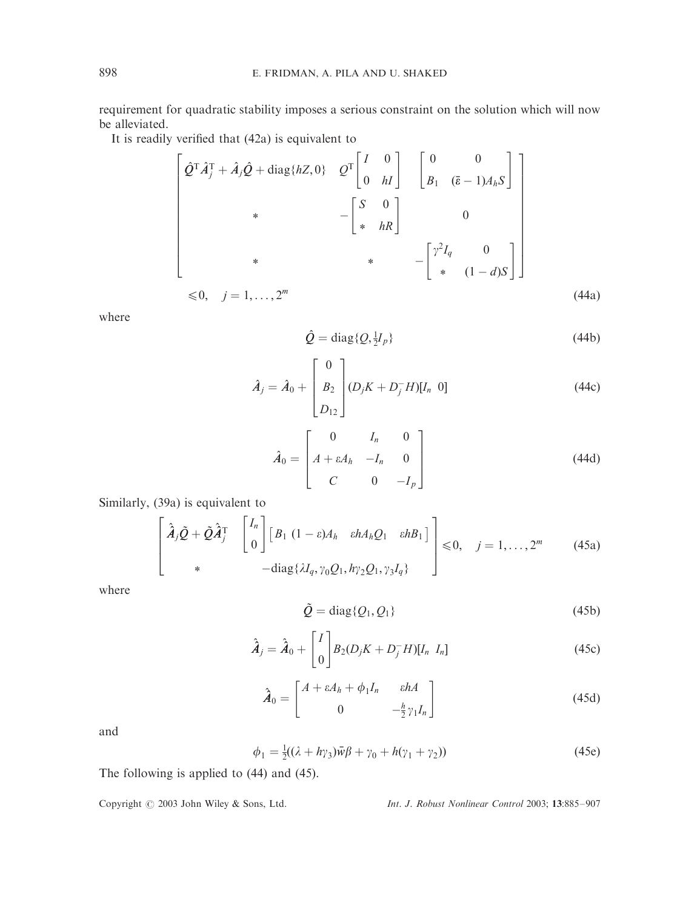requirement for quadratic stability imposes a serious constraint on the solution which will now be alleviated.

It is readily verified that (42a) is equivalent to

$$
\begin{bmatrix}\n\hat{Q}^{\mathrm{T}}\hat{A}_j^{\mathrm{T}} + \hat{A}_j\hat{Q} + \text{diag}\{hZ,0\} & \hat{Q}^{\mathrm{T}}\begin{bmatrix} I & 0\\ 0 & hI \end{bmatrix} & \begin{bmatrix} 0 & 0\\ B_1 & (\bar{\varepsilon}-1)A_hS \end{bmatrix} \\
\ast & -\begin{bmatrix} S & 0\\ * & hR \end{bmatrix} & 0 \\
\ast & \ast & -\begin{bmatrix} \gamma^2 I_q & 0\\ * & (1-d)S \end{bmatrix}\n\end{bmatrix}
$$
\n
$$
\leq 0, \quad j = 1, ..., 2^m
$$
\n(44a)

where

$$
\hat{Q} = \text{diag}\{Q, \frac{1}{2}I_p\} \tag{44b}
$$

$$
\hat{A}_j = \hat{A}_0 + \begin{bmatrix} 0 \\ B_2 \\ D_{12} \end{bmatrix} (D_j K + D_j^- H)[I_n \ 0]
$$
\n(44c)

$$
\hat{A}_0 = \begin{bmatrix} 0 & I_n & 0 \\ A + \varepsilon A_h & -I_n & 0 \\ C & 0 & -I_p \end{bmatrix}
$$
 (44d)

Similarly, (39a) is equivalent to

$$
\begin{bmatrix}\n\hat{A}_j \tilde{Q} + \tilde{Q} \hat{A}_j^T & \begin{bmatrix} I_n \\ 0 \end{bmatrix} \begin{bmatrix} B_1 & (1 - \varepsilon) A_h & \varepsilon h A_h Q_1 & \varepsilon h B_1 \end{bmatrix} \end{bmatrix} \leq 0, \quad j = 1, ..., 2^m \quad (45a)
$$
\n
$$
+ \text{diag}\{\lambda I_q, \gamma_0 Q_1, h \gamma_2 Q_1, \gamma_3 I_q\}
$$

where

$$
\tilde{Q} = \text{diag}\{Q_1, Q_1\} \tag{45b}
$$

$$
\hat{\mathbf{A}}_j = \hat{\mathbf{A}}_0 + \begin{bmatrix} I \\ 0 \end{bmatrix} B_2 (D_j K + D_j^- H) [I_n \ I_n]
$$
\n(45c)

$$
\hat{\mathbf{A}}_0 = \begin{bmatrix} A + \varepsilon A_h + \phi_1 I_n & \varepsilon h A \\ 0 & -\frac{h}{2} \gamma_1 I_n \end{bmatrix}
$$
(45d)

and

$$
\phi_1 = \frac{1}{2}((\lambda + h\gamma_3)\bar{w}\beta + \gamma_0 + h(\gamma_1 + \gamma_2))
$$
\n(45e)

The following is applied to (44) and (45).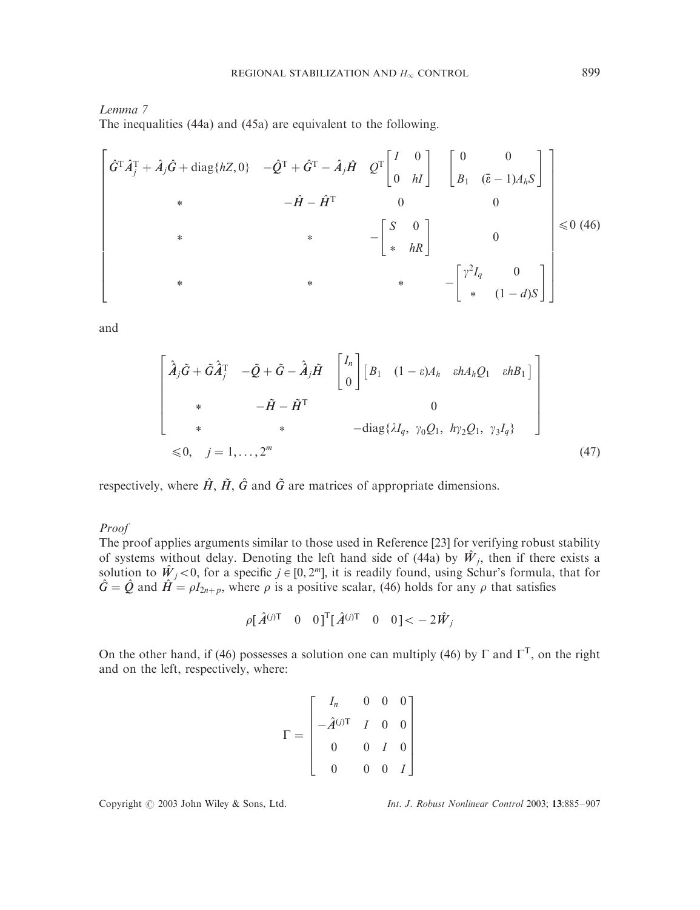## Lemma 7

The inequalities (44a) and (45a) are equivalent to the following.

$$
\begin{bmatrix}\n\hat{G}^{\mathrm{T}}\hat{A}_{j}^{\mathrm{T}} + \hat{A}_{j}\hat{G} + \text{diag}\{hZ,0\} & -\hat{Q}^{\mathrm{T}} + \hat{G}^{\mathrm{T}} - \hat{A}_{j}\hat{H} & Q^{\mathrm{T}} \begin{bmatrix} I & 0 \\ 0 & hI \end{bmatrix} & \begin{bmatrix} 0 & 0 \\ B_{1} & (\bar{\varepsilon} - 1)A_{h}S \end{bmatrix} \\
* & -\hat{H} - \hat{H}^{\mathrm{T}} & 0 & 0 \\
* & * & -\begin{bmatrix} S & 0 \\ * & hR \end{bmatrix} & 0 \\
* & * & -\begin{bmatrix} \gamma^{2}I_{q} & 0 \\ * & (1 - d)S \end{bmatrix} \end{bmatrix} \leq 0 \tag{46}
$$

and

$$
\begin{bmatrix}\n\hat{A}_{j}\tilde{G} + \tilde{G}\hat{A}_{j}^{T} & -\tilde{Q} + \tilde{G} - \hat{A}_{j}\tilde{H} & \begin{bmatrix} I_{n} \\ 0 \end{bmatrix} \begin{bmatrix} B_{1} & (1 - \varepsilon)A_{h} & \varepsilon h A_{h}Q_{1} & \varepsilon h B_{1} \end{bmatrix} \\
* & -\tilde{H} - \tilde{H}^{T} & 0 \\
* & * & -\text{diag}\{\lambda I_{q}, \gamma_{0}Q_{1}, \ h\gamma_{2}Q_{1}, \gamma_{3}I_{q}\}\n\end{bmatrix}
$$
\n
$$
\leq 0, \quad j = 1, ..., 2^{m}
$$
\n(47)

respectively, where  $\hat{H}$ ,  $\hat{H}$ ,  $\hat{G}$  and  $\tilde{G}$  are matrices of appropriate dimensions.

## Proof

The proof applies arguments similar to those used in Reference [23] for verifying robust stability of systems without delay. Denoting the left hand side of (44a) by  $\hat{W}_i$ , then if there exists a solution to  $\hat{W}_j$  < 0, for a specific  $j \in [0, 2^m]$ , it is readily found, using Schur's formula, that for  $\hat{G} = \hat{Q}$  and  $\hat{H} = \rho I_{2n+p}$ , where  $\rho$  is a positive scalar, (46) holds for any  $\rho$  that satisfies

$$
\rho[\hat{A}^{(j)T} \quad 0 \quad 0]^{\text{T}} [\hat{A}^{(j)T} \quad 0 \quad 0] < -2\hat{W}_j
$$

On the other hand, if (46) possesses a solution one can multiply (46) by  $\Gamma$  and  $\Gamma^T$ , on the right and on the left, respectively, where:

$$
\Gamma = \begin{bmatrix} I_n & 0 & 0 & 0 \\ -\hat{A}^{(j)\text{T}} & I & 0 & 0 \\ 0 & 0 & I & 0 \\ 0 & 0 & 0 & I \end{bmatrix}
$$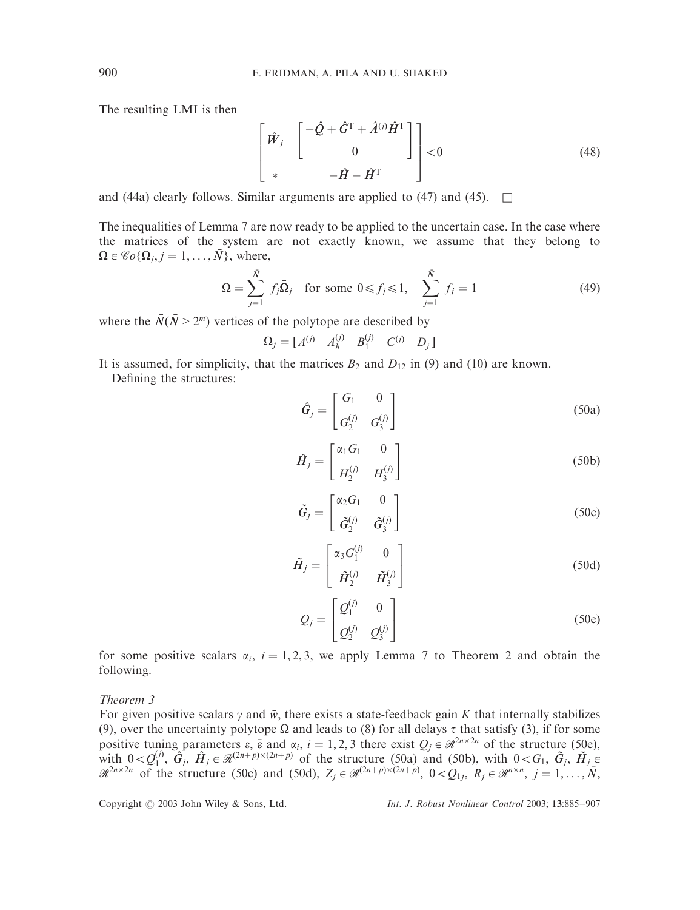The resulting LMI is then

$$
\begin{bmatrix} \hat{W}_j & \begin{bmatrix} -\hat{Q} + \hat{G}^{\mathrm{T}} + \hat{A}^{(j)} \hat{H}^{\mathrm{T}} \\ 0 & \end{bmatrix} \end{bmatrix} < 0
$$
 (48)

and (44a) clearly follows. Similar arguments are applied to (47) and (45).  $\Box$ 

The inequalities of Lemma 7 are now ready to be applied to the uncertain case. In the case where the matrices of the system are not exactly known, we assume that they belong to  $\Omega \in \mathscr{C}o\{\Omega_i, j = 1, \ldots, \overline{N}\}\$ , where,

$$
\Omega = \sum_{j=1}^{\bar{N}} f_j \bar{\Omega}_j \text{ for some } 0 \le f_j \le 1, \quad \sum_{j=1}^{\bar{N}} f_j = 1 \tag{49}
$$

where the  $\bar{N}(\bar{N} > 2^m)$  vertices of the polytope are described by

$$
\Omega_j = \begin{bmatrix} A^{(j)} & A_h^{(j)} & B_1^{(j)} & C^{(j)} & D_j \end{bmatrix}
$$

It is assumed, for simplicity, that the matrices  $B_2$  and  $D_{12}$  in (9) and (10) are known.

Defining the structures:

$$
\hat{G}_j = \begin{bmatrix} G_1 & 0 \\ G_2^{(j)} & G_3^{(j)} \end{bmatrix} \tag{50a}
$$

$$
\hat{H}_j = \begin{bmatrix} \alpha_1 G_1 & 0 \\ H_2^{(j)} & H_3^{(j)} \end{bmatrix}
$$
\n(50b)

$$
\tilde{G}_j = \begin{bmatrix} \alpha_2 G_1 & 0 \\ \tilde{G}_2^{(j)} & \tilde{G}_3^{(j)} \end{bmatrix}
$$
 (50c)

$$
\tilde{H}_j = \begin{bmatrix} \alpha_3 G_1^{(j)} & 0 \\ \tilde{H}_2^{(j)} & \tilde{H}_3^{(j)} \end{bmatrix}
$$
 (50d)

$$
Q_j = \begin{bmatrix} Q_1^{(j)} & 0 \\ Q_2^{(j)} & Q_3^{(j)} \end{bmatrix}
$$
 (50e)

for some positive scalars  $\alpha_i$ ,  $i = 1, 2, 3$ , we apply Lemma 7 to Theorem 2 and obtain the following.

Theorem 3

For given positive scalars  $\gamma$  and  $\bar{w}$ , there exists a state-feedback gain *K* that internally stabilizes (9), over the uncertainty polytope  $\Omega$  and leads to (8) for all delays  $\tau$  that satisfy (3), if for some positive tuning parameters  $\varepsilon$ ,  $\bar{\varepsilon}$  and  $\alpha_i$ ,  $i = 1, 2, 3$  there exist  $Q_j \in \mathbb{R}^{2n \times 2n}$  of the structure (50e), with  $0 < Q_1^{(j)}$ ,  $\hat{G}_j$ ,  $\hat{H}_j \in \mathbb{R}^{(2n+p)\times(2n+p)}$  of the structure (50a) and (50b), with  $0 < G_1$ ,  $\tilde{G}_j$ ,  $\tilde{H}_j \in$  $\mathscr{R}^{2n\times 2n}$  of the structure (50c) and (50d),  $Z_j \in \mathscr{R}^{(2n+p)\times (2n+p)}$ ,  $0 < Q_{1j}$ ,  $R_j \in \mathscr{R}^{n\times n}$ ,  $j = 1, \ldots, \overline{N}$ ,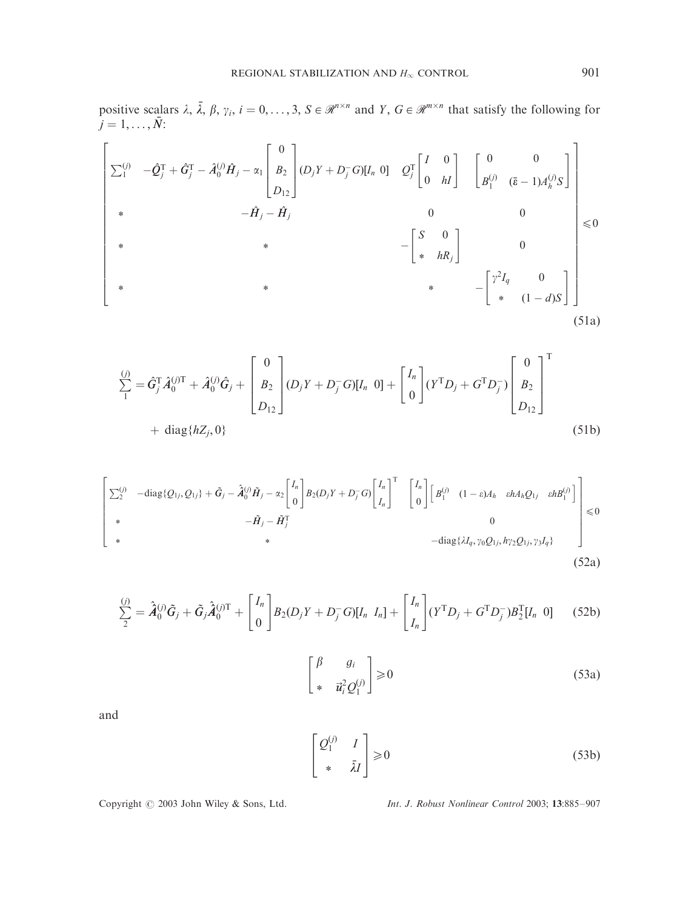positive scalars  $\lambda$ ,  $\overline{\lambda}$ ,  $\beta$ ,  $\gamma$ <sub>i</sub>,  $i = 0, \ldots, 3$ ,  $S \in \mathbb{R}^{n \times n}$  and  $Y$ ,  $G \in \mathbb{R}^{m \times n}$  that satisfy the following for  $j = 1, ..., \bar{N}$ :

$$
\begin{bmatrix}\n\sum_{1}^{(j)} & -\hat{Q}_{j}^{T} + \hat{G}_{j}^{T} - \hat{A}_{0}^{(j)}\hat{H}_{j} - \alpha_{1} \begin{bmatrix} 0 \\ B_{2} \\ D_{12} \end{bmatrix} (D_{j}Y + D_{j}^{-}G)[I_{n} \ 0] & Q_{j}^{T} \begin{bmatrix} I & 0 \\ 0 & hI \end{bmatrix} & \begin{bmatrix} 0 & 0 \\ B_{1}^{(j)} & (\bar{\varepsilon} - 1)A_{h}^{(j)}S \end{bmatrix} \\
* & -\hat{H}_{j} - \hat{H}_{j} & 0 & 0 \\
* & * & -\begin{bmatrix} S & 0 \\ * & hR_{j} \end{bmatrix} & 0 \\
* & * & -\begin{bmatrix} \gamma^{2}I_{q} & 0 \\ * & (1 - d)S \end{bmatrix}\n\end{bmatrix} \tag{51a}
$$

$$
\sum_{1}^{(j)} = \hat{G}_{j}^{T} \hat{A}_{0}^{(j)T} + \hat{A}_{0}^{(j)} \hat{G}_{j} + \begin{bmatrix} 0 \\ B_{2} \\ D_{12} \end{bmatrix} (D_{j}Y + D_{j}^{-}G)[I_{n} \ 0] + \begin{bmatrix} I_{n} \\ 0 \end{bmatrix} (Y^{T}D_{j} + G^{T}D_{j}^{-}) \begin{bmatrix} 0 \\ B_{2} \\ D_{12} \end{bmatrix}^{T}
$$
  
+ diag{hZ<sub>j</sub>, 0} (51b)

$$
\begin{bmatrix}\n\sum_{2}^{(j)} & -\text{diag}\{Q_{1j}, Q_{1j}\} + \tilde{G}_{j} - \hat{A}_{0}^{(j)}\tilde{H}_{j} - \alpha_{2} \begin{bmatrix} I_{n} \\ 0 \end{bmatrix} B_{2}(D_{j}Y + D_{j}^{-}G) \begin{bmatrix} I_{n} \\ I_{n} \end{bmatrix}^{T} & \begin{bmatrix} I_{n} \\ 0 \end{bmatrix} \begin{bmatrix} B_{1}^{(j)} & (1 - \varepsilon)A_{h} & \varepsilon h A_{h} Q_{1j} & \varepsilon h B_{1}^{(j)} \end{bmatrix} \begin{bmatrix} \varepsilon h \\ \varepsilon h \end{bmatrix} \begin{bmatrix} \varepsilon h \\ \varepsilon h \end{bmatrix}^{T} & 0 \\
\ast & -\text{diag}\{ \lambda I_{q}, \gamma_{0} Q_{1j}, h \gamma_{2} Q_{1j}, \gamma_{3} I_{q} \}\n\end{bmatrix} \leq 0
$$
\n(52a)

$$
\sum_{2}^{(j)} = \hat{A}_{0}^{(j)}\tilde{G}_{j} + \tilde{G}_{j}\hat{A}_{0}^{(j)T} + \begin{bmatrix} I_{n} \\ 0 \end{bmatrix} B_{2}(D_{j}Y + D_{j}^{-}G)[I_{n} I_{n}] + \begin{bmatrix} I_{n} \\ I_{n} \end{bmatrix} (Y^{T}D_{j} + G^{T}D_{j}^{-})B_{2}^{T}[I_{n} 0] \qquad (52b)
$$

$$
\begin{bmatrix} \beta & g_i \\ * & \vec{u}_i^2 Q_1^{(j)} \end{bmatrix} \ge 0
$$
 (53a)

and

$$
\begin{bmatrix} \mathcal{Q}_1^{(j)} & I \\ * & \bar{\lambda}I \end{bmatrix} \ge 0
$$
 (53b)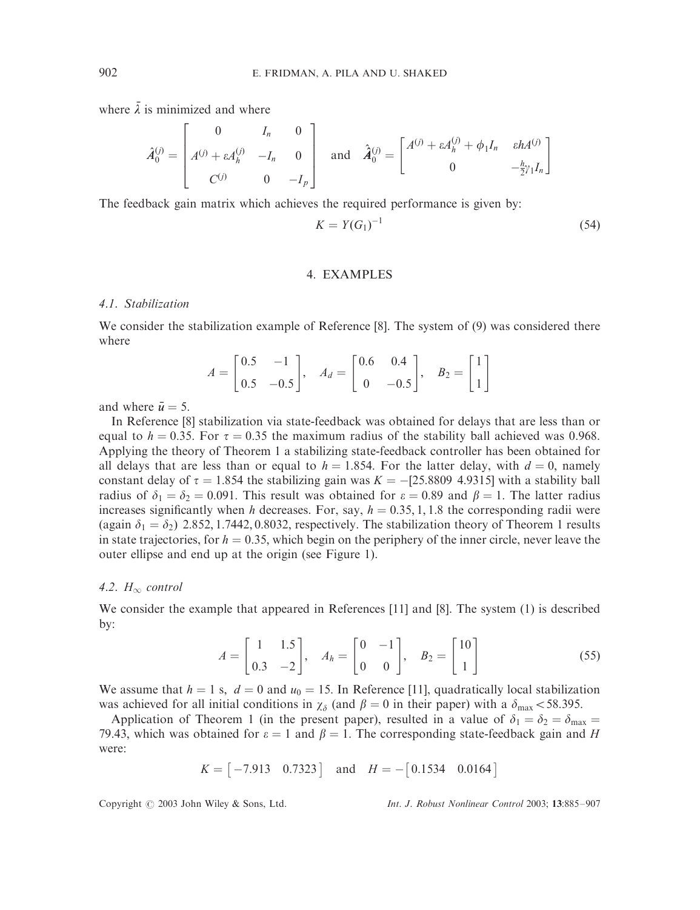where  $\bar{\lambda}$  is minimized and where

$$
\hat{A}_0^{(j)} = \begin{bmatrix} 0 & I_n & 0 \\ A^{(j)} + \varepsilon A_h^{(j)} & -I_n & 0 \\ C^{(j)} & 0 & -I_p \end{bmatrix} \text{ and } \hat{A}_0^{(j)} = \begin{bmatrix} A^{(j)} + \varepsilon A_h^{(j)} + \phi_1 I_n & \varepsilon h A^{(j)} \\ 0 & -\frac{h}{2} \gamma_1 I_n \end{bmatrix}
$$

The feedback gain matrix which achieves the required performance is given by:

$$
K = Y(G_1)^{-1}
$$
 (54)

# 4. EXAMPLES

# 4.1. Stabilization

We consider the stabilization example of Reference [8]. The system of (9) was considered there where

$$
A = \begin{bmatrix} 0.5 & -1 \\ 0.5 & -0.5 \end{bmatrix}, \quad A_d = \begin{bmatrix} 0.6 & 0.4 \\ 0 & -0.5 \end{bmatrix}, \quad B_2 = \begin{bmatrix} 1 \\ 1 \end{bmatrix}
$$

and where  $\bar{u} = 5$ .

In Reference [8] stabilization via state-feedback was obtained for delays that are less than or equal to  $h = 0.35$ . For  $\tau = 0.35$  the maximum radius of the stability ball achieved was 0.968. Applying the theory of Theorem 1 a stabilizing state-feedback controller has been obtained for all delays that are less than or equal to  $h = 1.854$ . For the latter delay, with  $d = 0$ , namely constant delay of  $\tau = 1.854$  the stabilizing gain was  $K = -[25.8809 \; 4.9315]$  with a stability ball radius of  $\delta_1 = \delta_2 = 0.091$ . This result was obtained for  $\varepsilon = 0.89$  and  $\beta = 1$ . The latter radius increases significantly when *h* decreases. For, say,  $h = 0.35, 1, 1.8$  the corresponding radii were (again  $\delta_1 = \delta_2$ ) 2.852, 1.7442, 0.8032, respectively. The stabilization theory of Theorem 1 results in state trajectories, for  $h = 0.35$ , which begin on the periphery of the inner circle, never leave the outer ellipse and end up at the origin (see Figure 1).

## 4.2.  $H_{\infty}$  control

We consider the example that appeared in References [11] and [8]. The system (1) is described by:

$$
A = \begin{bmatrix} 1 & 1.5 \\ 0.3 & -2 \end{bmatrix}, \quad A_h = \begin{bmatrix} 0 & -1 \\ 0 & 0 \end{bmatrix}, \quad B_2 = \begin{bmatrix} 10 \\ 1 \end{bmatrix}
$$
 (55)

We assume that  $h = 1$  s,  $d = 0$  and  $u_0 = 15$ . In Reference [11], quadratically local stabilization was achieved for all initial conditions in  $\chi_{\delta}$  (and  $\beta = 0$  in their paper) with a  $\delta_{\text{max}}$  < 58.395.

Application of Theorem 1 (in the present paper), resulted in a value of  $\delta_1 = \delta_2 = \delta_{\text{max}} =$ 79.43, which was obtained for  $\varepsilon = 1$  and  $\beta = 1$ . The corresponding state-feedback gain and *H* were:

$$
K = [-7.913 \quad 0.7323]
$$
 and  $H = -[0.1534 \quad 0.0164]$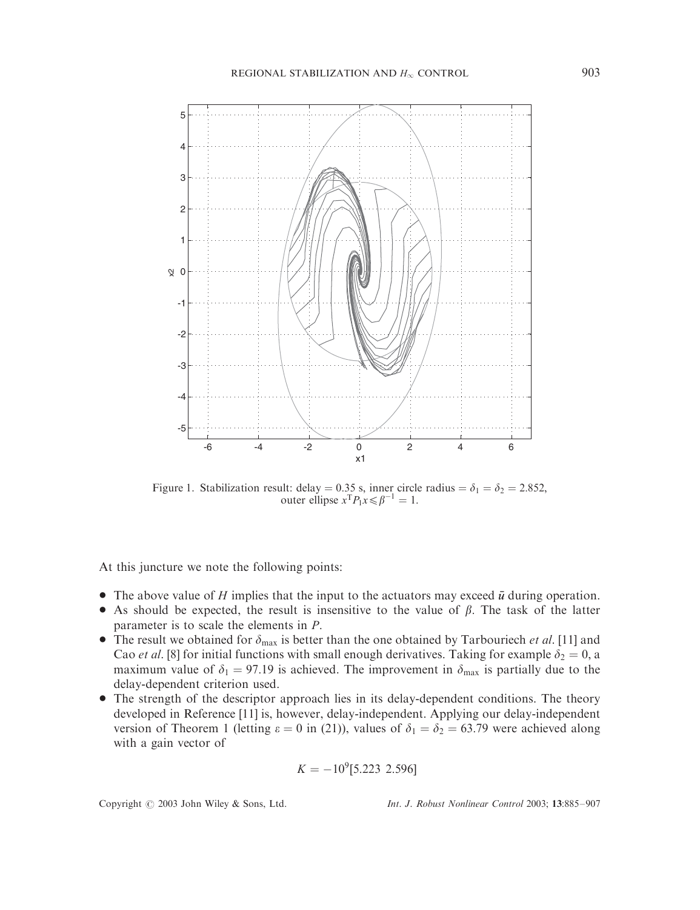

Figure 1. Stabilization result: delay = 0.35 s, inner circle radius =  $\delta_1 = \delta_2 = 2.852$ , outer ellipse  $x^T P_1 x \le \beta^{-1} = 1$ .

At this juncture we note the following points:

- $\bullet$  The above value of *H* implies that the input to the actuators may exceed  $\bar{u}$  during operation.
- As should be expected, the result is insensitive to the value of  $\beta$ . The task of the latter parameter is to scale the elements in *P*:
- The result we obtained for  $\delta_{\text{max}}$  is better than the one obtained by Tarbouriech *et al.* [11] and Cao *et al.* [8] for initial functions with small enough derivatives. Taking for example  $\delta_2 = 0$ , a maximum value of  $\delta_1 = 97.19$  is achieved. The improvement in  $\delta_{\text{max}}$  is partially due to the delay-dependent criterion used.
- The strength of the descriptor approach lies in its delay-dependent conditions. The theory developed in Reference [11] is, however, delay-independent. Applying our delay-independent version of Theorem 1 (letting  $\varepsilon = 0$  in (21)), values of  $\delta_1 = \delta_2 = 63.79$  were achieved along with a gain vector of

$$
K = -10^9[5.223 \ 2.596]
$$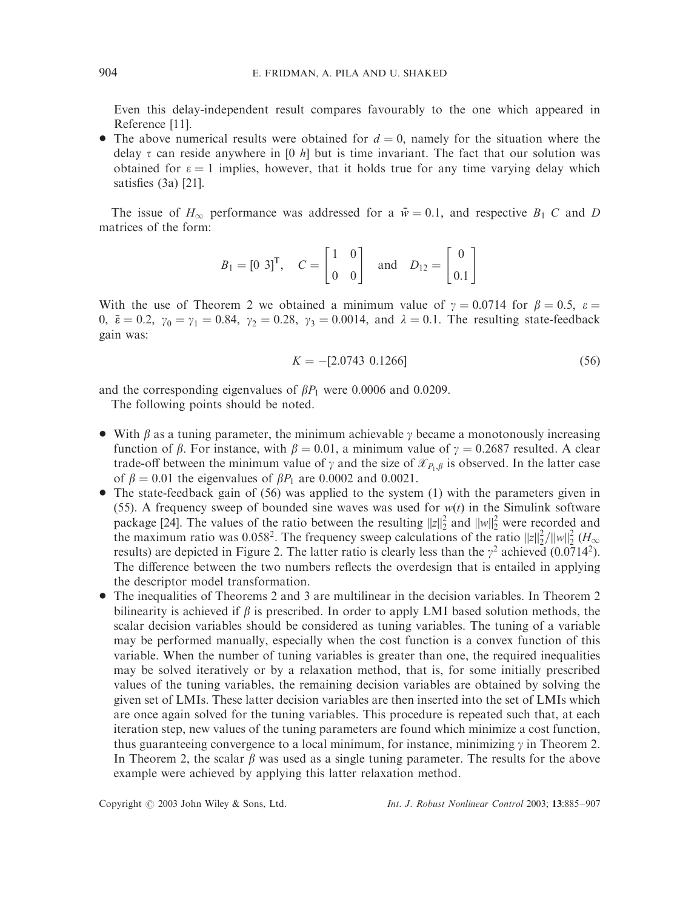Even this delay-independent result compares favourably to the one which appeared in Reference [11].

• The above numerical results were obtained for  $d = 0$ , namely for the situation where the delay  $\tau$  can reside anywhere in [0  $h$ ] but is time invariant. The fact that our solution was obtained for  $\varepsilon = 1$  implies, however, that it holds true for any time varying delay which satisfies (3a) [21].

The issue of  $H_{\infty}$  performance was addressed for a  $\bar{w} = 0.1$ , and respective  $B_1$  *C* and *D* matrices of the form:

$$
B_1 = \begin{bmatrix} 0 & 3 \end{bmatrix}^T, \quad C = \begin{bmatrix} 1 & 0 \\ 0 & 0 \end{bmatrix} \quad \text{and} \quad D_{12} = \begin{bmatrix} 0 \\ 0.1 \end{bmatrix}
$$

With the use of Theorem 2 we obtained a minimum value of  $\gamma = 0.0714$  for  $\beta = 0.5$ ,  $\varepsilon =$ 0,  $\bar{\epsilon} = 0.2$ ,  $\gamma_0 = \gamma_1 = 0.84$ ,  $\gamma_2 = 0.28$ ,  $\gamma_3 = 0.0014$ , and  $\lambda = 0.1$ . The resulting state-feedback gain was:

$$
K = -[2.0743 \ 0.1266] \tag{56}
$$

and the corresponding eigenvalues of  $\beta P_1$  were 0.0006 and 0.0209.

The following points should be noted.

- With  $\beta$  as a tuning parameter, the minimum achievable  $\gamma$  became a monotonously increasing function of  $\beta$ . For instance, with  $\beta = 0.01$ , a minimum value of  $\gamma = 0.2687$  resulted. A clear trade-off between the minimum value of  $\gamma$  and the size of  $\mathcal{X}_{P,\beta}$  is observed. In the latter case of  $\beta = 0.01$  the eigenvalues of  $\beta P_1$  are 0.0002 and 0.0021.
- $\bullet$  The state-feedback gain of (56) was applied to the system (1) with the parameters given in (55). A frequency sweep of bounded sine waves was used for  $w(t)$  in the Simulink software package [24]. The values of the ratio between the resulting  $||z||_2^2$  and  $||w||_2^2$  were recorded and the maximum ratio was 0.058<sup>2</sup>. The frequency sweep calculations of the ratio  $||z||_2^2/||w||_2^2$  ( $H_{\infty}$ ) results) are depicted in Figure 2. The latter ratio is clearly less than the  $\gamma^2$  achieved (0.0714<sup>2</sup>). The difference between the two numbers reflects the overdesign that is entailed in applying the descriptor model transformation.
- The inequalities of Theorems 2 and 3 are multilinear in the decision variables. In Theorem 2 bilinearity is achieved if  $\beta$  is prescribed. In order to apply LMI based solution methods, the scalar decision variables should be considered as tuning variables. The tuning of a variable may be performed manually, especially when the cost function is a convex function of this variable. When the number of tuning variables is greater than one, the required inequalities may be solved iteratively or by a relaxation method, that is, for some initially prescribed values of the tuning variables, the remaining decision variables are obtained by solving the given set of LMIs. These latter decision variables are then inserted into the set of LMIs which are once again solved for the tuning variables. This procedure is repeated such that, at each iteration step, new values of the tuning parameters are found which minimize a cost function, thus guaranteeing convergence to a local minimum, for instance, minimizing  $\gamma$  in Theorem 2. In Theorem 2, the scalar  $\beta$  was used as a single tuning parameter. The results for the above example were achieved by applying this latter relaxation method.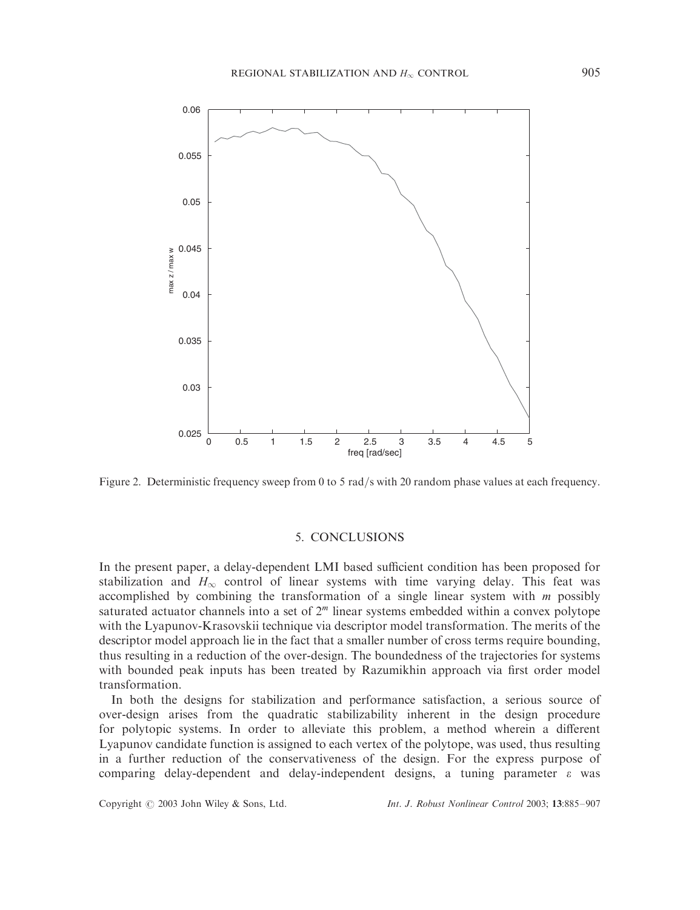

Figure 2. Deterministic frequency sweep from 0 to 5 rad/s with 20 random phase values at each frequency.

#### 5. CONCLUSIONS

In the present paper, a delay-dependent LMI based sufficient condition has been proposed for stabilization and  $H_{\infty}$  control of linear systems with time varying delay. This feat was accomplished by combining the transformation of a single linear system with *m* possibly saturated actuator channels into a set of  $2<sup>m</sup>$  linear systems embedded within a convex polytope with the Lyapunov-Krasovskii technique via descriptor model transformation. The merits of the descriptor model approach lie in the fact that a smaller number of cross terms require bounding, thus resulting in a reduction of the over-design. The boundedness of the trajectories for systems with bounded peak inputs has been treated by Razumikhin approach via first order model transformation.

In both the designs for stabilization and performance satisfaction, a serious source of over-design arises from the quadratic stabilizability inherent in the design procedure for polytopic systems. In order to alleviate this problem, a method wherein a different Lyapunov candidate function is assigned to each vertex of the polytope, was used, thus resulting in a further reduction of the conservativeness of the design. For the express purpose of comparing delay-dependent and delay-independent designs, a tuning parameter  $\varepsilon$  was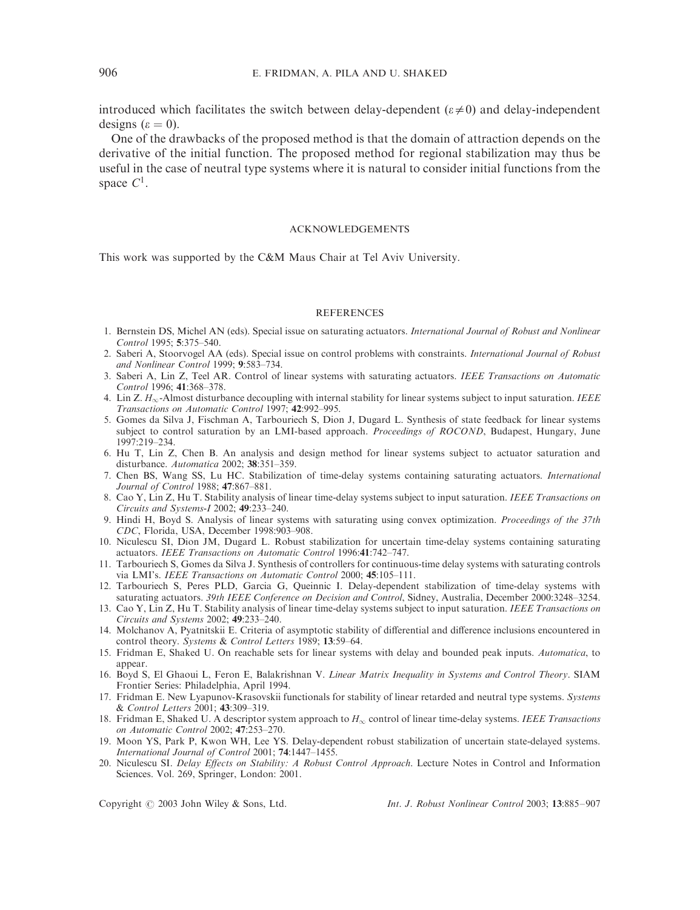introduced which facilitates the switch between delay-dependent  $(\varepsilon \neq 0)$  and delay-independent designs ( $\varepsilon = 0$ ).

One of the drawbacks of the proposed method is that the domain of attraction depends on the derivative of the initial function. The proposed method for regional stabilization may thus be useful in the case of neutral type systems where it is natural to consider initial functions from the space  $C^1$ .

#### ACKNOWLEDGEMENTS

This work was supported by the C&M Maus Chair at Tel Aviv University.

#### **REFERENCES**

- 1. Bernstein DS, Michel AN (eds). Special issue on saturating actuators. International Journal of Robust and Nonlinear Control 1995; 5:375–540.
- 2. Saberi A, Stoorvogel AA (eds). Special issue on control problems with constraints. International Journal of Robust and Nonlinear Control 1999; 9:583–734.
- 3. Saberi A, Lin Z, Teel AR. Control of linear systems with saturating actuators. IEEE Transactions on Automatic Control 1996; 41:368–378.
- 4. Lin Z.  $H_{\infty}$ -Almost disturbance decoupling with internal stability for linear systems subject to input saturation. IEEE Transactions on Automatic Control 1997; 42:992–995.
- 5. Gomes da Silva J, Fischman A, Tarbouriech S, Dion J, Dugard L. Synthesis of state feedback for linear systems subject to control saturation by an LMI-based approach. *Proceedings of ROCOND*, Budapest, Hungary, June 1997:219–234.
- 6. Hu T, Lin Z, Chen B. An analysis and design method for linear systems subject to actuator saturation and disturbance. Automatica 2002; 38:351–359.
- 7. Chen BS, Wang SS, Lu HC. Stabilization of time-delay systems containing saturating actuators. International Journal of Control 1988; 47:867–881.
- 8. Cao Y, Lin Z, Hu T. Stability analysis of linear time-delay systems subject to input saturation. IEEE Transactions on Circuits and Systems-I 2002; 49:233–240.
- 9. Hindi H, Boyd S. Analysis of linear systems with saturating using convex optimization. Proceedings of the 37th CDC, Florida, USA, December 1998:903–908.
- 10. Niculescu SI, Dion JM, Dugard L. Robust stabilization for uncertain time-delay systems containing saturating actuators. IEEE Transactions on Automatic Control 1996:41:742–747.
- 11. Tarbouriech S, Gomes da Silva J. Synthesis of controllers for continuous-time delay systems with saturating controls via LMI's. IEEE Transactions on Automatic Control 2000; 45:105-111.
- 12. Tarbouriech S, Peres PLD, Garcia G, Queinnic I. Delay-dependent stabilization of time-delay systems with saturating actuators. 39th IEEE Conference on Decision and Control, Sidney, Australia, December 2000:3248–3254.
- 13. Cao Y, Lin Z, Hu T. Stability analysis of linear time-delay systems subject to input saturation. IEEE Transactions on Circuits and Systems 2002; 49:233–240.
- 14. Molchanov A, Pyatnitskii E. Criteria of asymptotic stability of differential and difference inclusions encountered in control theory. Systems & Control Letters 1989; 13:59-64.
- 15. Fridman E, Shaked U. On reachable sets for linear systems with delay and bounded peak inputs. Automatica, to appear.
- 16. Boyd S, El Ghaoui L, Feron E, Balakrishnan V. Linear Matrix Inequality in Systems and Control Theory. SIAM Frontier Series: Philadelphia, April 1994.
- 17. Fridman E. New Lyapunov-Krasovskii functionals for stability of linear retarded and neutral type systems. Systems & Control Letters 2001; 43:309–319.
- 18. Fridman E, Shaked U. A descriptor system approach to  $H_{\infty}$  control of linear time-delay systems. IEEE Transactions on Automatic Control 2002; 47:253–270.
- 19. Moon YS, Park P, Kwon WH, Lee YS. Delay-dependent robust stabilization of uncertain state-delayed systems. International Journal of Control 2001; 74:1447–1455.
- 20. Niculescu SI. Delay Effects on Stability: A Robust Control Approach. Lecture Notes in Control and Information Sciences. Vol. 269, Springer, London: 2001.